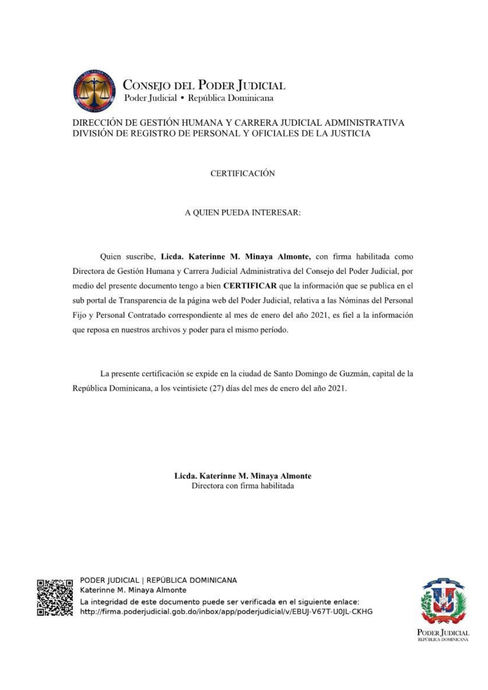

## DIRECCIÓN DE GESTIÓN HUMANA Y CARRERA JUDICIAL ADMINISTRATIVA DIVISIÓN DE REGISTRO DE PERSONAL Y OFICIALES DE LA JUSTICIA

**CERTIFICACIÓN** 

## A QUIEN PUEDA INTERESAR:

Quien suscribe, Licda. Katerinne M. Minava Almonte, con firma habilitada como Directora de Gestión Humana y Carrera Judicial Administrativa del Consejo del Poder Judicial, por medio del presente documento tengo a bien CERTIFICAR que la información que se publica en el sub portal de Transparencia de la página web del Poder Judicial, relativa a las Nóminas del Personal Fijo y Personal Contratado correspondiente al mes de enero del año 2021, es fiel a la información que reposa en nuestros archivos y poder para el mismo período.

La presente certificación se expide en la ciudad de Santo Domingo de Guzmán, capital de la República Dominicana, a los veintisiete (27) días del mes de enero del año 2021.

> Licda. Katerinne M. Minaya Almonte Directora con firma habilitada



PODER JUDICIAL | REPÚBLICA DOMINICANA Katerinne M. Minaya Almonte La integridad de este documento puede ser verificada en el siguiente enlace: http://firma.poderjudicial.gob.do/inbox/app/poderjudicial/v/EBUJ-V67T-U0JL-CKHG

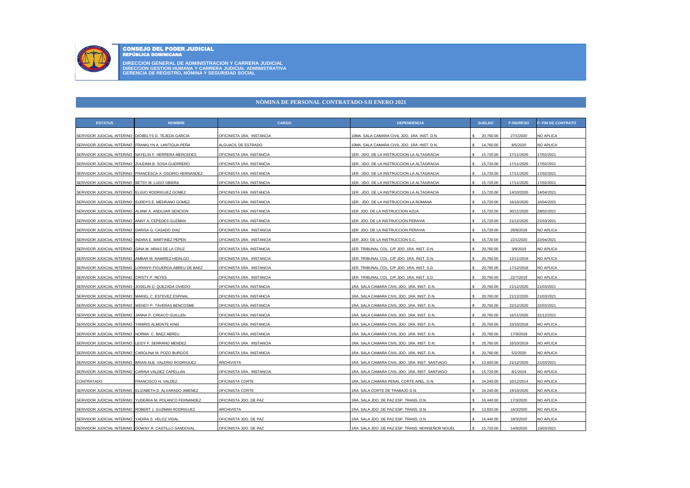

CONSEJO DEL PODER JUDICIAL REPÚBLICA DOMINICANA

**DIRECCION GENERAL DE ADMINISTRACION Y CARRERA JUDICIAL DIRECCION GESTION HUMANA Y CARRERA JUDICIAL ADMINISTRATIVA GERENCIA DE REGISTRO, NÓMINA Y SEGURIDAD SOCIAL**

## **NÒMINA DE PERSONAL CONTRATADO-SJI ENERO 2021**

| <b>ESTATUS</b>                                         | <b>NOMBRE</b>                                           | <b>CARGO</b>              | <b>DEPENDENCIA</b>                               | <b>SUELDO</b>   | <b>F-INGRESO</b> | F- FIN DE CONTRATO |
|--------------------------------------------------------|---------------------------------------------------------|---------------------------|--------------------------------------------------|-----------------|------------------|--------------------|
| SERVIDOR JUDICIAL INTERINO   DIOBELYS G. TEJEDA GARCIA |                                                         | OFICINISTA 1RA. INSTANCIA | 10MA, SALA CAMARA CIVIL JDO, 1RA, INST, D.N.     | 20,760.00       | 27/1/2020        | NO APLICA          |
| SERVIDOR JUDICIAL INTERINO FRANKLYN A. LANTIGUA PEÑA   |                                                         | ALGUACIL DE ESTRADO       | IOMA. SALA CAMARA CIVIL JDO. 1RA. INST. D.N.     | 14,760.00       | 8/5/2020         | NO APLICA          |
| SERVIDOR JUDICIAL INTERINO                             | NAYELIN F. HERRERA MERCEDES                             | OFICINISTA 1RA. INSTANCIA | IER. JDO. DE LA INSTRUCCION LA ALTAGRACIA        | 15,720.00       | 17/11/2020       | 17/02/2021         |
| SERVIDOR JUDICIAL INTERINO                             | ZULEIMA B. SOSA GUERRERO                                | OFICINISTA 1RA. INSTANCIA | 1ER. JDO. DE LA INSTRUCCION LA ALTAGRACIA        | 15,720.00<br>s. | 17/11/2020       | 17/02/2021         |
| SERVIDOR JUDICIAL INTERINO                             | FRANCESCA A. OSORIO HERNANDEZ                           | OFICINISTA 1RA. INSTANCIA | 1ER. JDO. DE LA INSTRUCCION LA ALTAGRACIA        | 15,720.00       | 17/11/2020       | 17/02/2021         |
| SERVIDOR JUDICIAL INTERINO BETSY M. LUGO UBIERA        |                                                         | OFICINISTA 1RA. INSTANCIA | 1ER. JDO. DE LA INSTRUCCION LA ALTAGRACIA        | 15,720.00       | 17/11/2020       | 17/02/2021         |
| SERVIDOR JUDICIAL INTERINO                             | ELIGIO RODRIGUEZ GOMEZ                                  | OFICINISTA 1RA. INSTANCIA | 1ER. JDO. DE LA INSTRUCCION LA ALTAGRACIA        | 15,720.00<br>s. | 14/10/2020       | 14/04/2021         |
| SERVIDOR JUDICIAL INTERINO                             | EUDDYS E. MEDRANO GOMEZ                                 | OFICINISTA 1RA. INSTANCIA | 1ER. JDO. DE LA INSTRUCCION LA ROMANA            | 15,720.00       | 16/10/2020       | 16/04/2021         |
| SERVIDOR JUDICIAL INTERINO                             | ALANK A. ANDUJAR SENCION                                | OFICINISTA 1RA. INSTANCIA | 1ER. JDO. DE LA INSTRUCCION AZUA                 | 15,720.00       | 30/11/2020       | 28/02/2021         |
| SERVIDOR JUDICIAL INTERINO ANNY A. CEPEDES GUZMAN      |                                                         | OFICINISTA 1RA. INSTANCIA | 1ER. JDO. DE LA INSTRUCCION PERAVIA              | 15,720.00       | 21/12/2020       | 21/03/2021         |
| SERVIDOR JUDICIAL INTERINO                             | DARISA G. CASADO DIAZ                                   | OFICINISTA 1RA. INSTANCIA | IER. JDO. DE LA INSTRUCCION PERAVIA              | 15,720.00       | 28/8/2018        | NO APLICA          |
| SERVIDOR JUDICIAL INTERINO                             | INDIRA E. MARTINEZ PEPEN                                | OFICINISTA 1RA. INSTANCIA | IER. JDO. DE LA INSTRUCCION S.C.                 | 15,720.00       | 22/1/2020        | 22/04/2021         |
| SERVIDOR JUDICIAL INTERINO                             | GINA M. ARIAS DE LA CRUZ                                | OFICINISTA 1RA. INSTANCIA | 1ER. TRIBUNAL COL. C/P JDO. 1RA. INST. D.N.      | 20,760.00       | 3/9/2019         | NO APLICA          |
| SERVIDOR JUDICIAL INTERINO AMBAR M. RAMIREZ HIDALGO    |                                                         | OFICINISTA 1RA. INSTANCIA | 1ER. TRIBUNAL COL. C/P JDO. 1RA. INST. D.N.      | 20,760.00       | 12/11/2019       | NO APLICA          |
| SERVIDOR JUDICIAL INTERINO                             | LORANYI FIGUEROA ABREU DE BAEZ                          | OFICINISTA 1RA. INSTANCIA | IER. TRIBUNAL COL. C/P JDO. 1RA. INST. S.D.      | 20,760.00       | 17/12/2018       | <b>NO APLICA</b>   |
| SERVIDOR JUDICIAL INTERINO                             | <b>CRISTY P. REYES</b>                                  | OFICINISTA 1RA. INSTANCIA | IER. TRIBUNAL COL. C/P JDO. 1RA. INST. S.D.      | 20,760.00       | 22/7/2019        | NO APLICA          |
| SERVIDOR JUDICIAL INTERINO                             | JOSELIN D. QUEZADA OVIEDO                               | OFICINISTA 1RA. INSTANCIA | 1RA. SALA CAMARA CIVIL JDO. 1RA. INST. D.N.      | 20,760.00       | 21/12/2020       | 21/03/2021         |
| SERVIDOR JUDICIAL INTERINO MARIEL C. ESTEVEZ ESPINAL   |                                                         | OFICINISTA 1RA. INSTANCIA | IRA. SALA CAMARA CIVIL JDO. 1RA. INST. D.N.      | 20,760.00       | 21/12/2020       | 21/03/2021         |
|                                                        | SERVIDOR JUDICIAL INTERINO WENDY P. TAVERAS BENCOSME    | OFICINISTA 1RA. INSTANCIA | IRA. SALA CAMARA CIVIL JDO. 1RA. INST. D.N.      | 20,760.00       | 22/12/2020       | 22/03/2021         |
| SERVIDOR JUDICIAL INTERINO                             | JANNA P. CIRIACO GUILLEN                                | OFICINISTA 1RA. INSTANCIA | IRA. SALA CAMARA CIVIL JDO. 1RA. INST. D.N.      | 20,760.00       | 16/11/2020       | 31/12/2021         |
| SERVIDOR JUDICIAL INTERINO                             | YANIRIS ALMONTE KING                                    | OFICINISTA 1RA. INSTANCIA | 1RA. SALA CAMARA CIVIL JDO. 1RA. INST. D.N.      | 20,760.00       | 23/10/2018       | NO APLICA          |
| SERVIDOR JUDICIAL INTERINO NORMA C. BAEZ ABREU         |                                                         | OFICINISTA 1RA. INSTANCIA | 1RA. SALA CAMARA CIVIL JDO. 1RA. INST. D.N.      | 20,760.00       | 17/9/2019        | NO APLICA          |
| SERVIDOR JUDICIAL INTERINO                             | LEIDY F. SERRANO MENDEZ                                 | OFICINISTA 1RA. INSTANCIA | IRA. SALA CAMARA CIVIL JDO. 1RA. INST. D.N.      | 20,760.00       | 16/10/2019       | <b>NO APLICA</b>   |
| SERVIDOR JUDICIAL INTERINO                             | CAROLINA M. POZO BURGOS                                 | OFICINISTA 1RA. INSTANCIA | 1RA. SALA CAMARA CIVIL JDO. 1RA. INST. D.N.      | 20,760.00       | 5/2/2020         | NO APLICA          |
|                                                        | SERVIDOR JUDICIAL INTERINO BRIAN ALB. VALERIO RODRIGUEZ | <b>ARCHIVISTA</b>         | 1RA, SALA CAMARA CIVIL JDO, 1RA, INST, SANTIAGO  | 13,920,00       | 21/12/2020       | 21/03/2021         |
| SERVIDOR JUDICIAL INTERINO CARINA VALDEZ CAPELLAN      |                                                         | OFICINISTA 1RA. INSTANCIA | 1RA. SALA CAMARA CIVIL JDO. 1RA. INST. SANTIAGO  | 15,720.00       | 8/1/2019         | NO APLICA          |
| CONTRATADO                                             | FRANCISCO H. VALDEZ                                     | OFICINISTA CORTE          | IRA. SALA CAMARA PENAL CORTE APEL. D.N.          | 24,240.00       | 10/12/2014       | <b>NO APLICA</b>   |
| SERVIDOR JUDICIAL INTERINO                             | ELIZABETH D. ALVARADO JIMENEZ                           | OFICINISTA CORTE          | 1RA. SALA CORTE DE TRABAJO D.N.                  | 24,240.00       | 19/10/2020       | NO APLICA          |
| SERVIDOR JUDICIAL INTERINO                             | YUDERKA M. POLANCO FERNANDEZ                            | OFICINISTA JDO, DE PAZ    | 1RA, SALA JDO, DE PAZ ESP, TRANS, D.N.           | 16,440.00       | 17/3/2020        | NO APLICA          |
|                                                        | SERVIDOR JUDICIAL INTERINO ROBERT J. GUZMAN RODRIGUEZ   | <b>ARCHIVISTA</b>         | 1RA. SALA JDO. DE PAZ ESP. TRANS. D.N.           | 13,920.00       | 16/3/2020        | <b>NO APLICA</b>   |
| SERVIDOR JUDICIAL INTERINO YADIRA S. VELOZ VIDAL       |                                                         | OFICINISTA JDO. DE PAZ    | IRA, SALA JDO, DE PAZ ESP, TRANS, D.N.           | 16,440.00       | 18/3/2020        | <b>NO APLICA</b>   |
|                                                        | SERVIDOR JUDICIAL INTERINO DOWNY R. CASTILLO SANDOVAL   | OFICINISTA JDO. DE PAZ    | 1RA. SALA JDO. DE PAZ ESP. TRANS. MONSEÑOR NOUEL | 15,720.00<br>s  | 14/9/2020        | 15/03/2021         |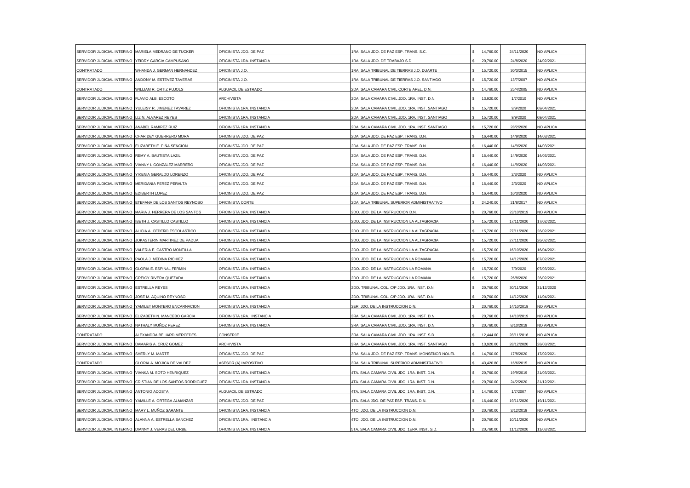| SERVIDOR JUDICIAL INTERINO                          | MARIELA MEDRANO DE TUCKER                                   | OFICINISTA JDO. DE PAZ    | IRA. SALA JDO. DE PAZ ESP. TRANS. S.C.           | 14,760.00 | 24/11/2020 | NO APLICA  |
|-----------------------------------------------------|-------------------------------------------------------------|---------------------------|--------------------------------------------------|-----------|------------|------------|
| SERVIDOR JUDICIAL INTERINO YEIDRY GARCIA CAMPUSANO  |                                                             | OFICINISTA 1RA. INSTANCIA | 1RA. SALA JDO. DE TRABAJO S.D.                   | 20,760.00 | 24/8/2020  | 24/02/2021 |
| CONTRATADO                                          | WHANDA J. GERMAN HERNANDEZ                                  | OFICINISTA J.O.           | 1RA. SALA TRIBUNAL DE TIERRAS J.O. DUARTE        | 15,720.00 | 30/3/2015  | NO APLICA  |
| SERVIDOR JUDICIAL INTERINO                          | ANDONY M. ESTEVEZ TAVERAS                                   | OFICINISTA J.O.           | RA. SALA TRIBUNAL DE TIERRAS J.O. SANTIAGO       | 15,720.00 | 13/7/2007  | NO APLICA  |
| CONTRATADO                                          | WILLIAM R. ORTIZ PUJOLS                                     | ALGUACIL DE ESTRADO       | 2DA. SALA CAMARA CIVIL CORTE APEL. D.N.          | 14,760.00 | 25/4/2005  | NO APLICA  |
| SERVIDOR JUDICIAL INTERINO                          | FLAVIO ALB. ESCOTO                                          | <b>ARCHIVISTA</b>         | 2DA. SALA CAMARA CIVIL JDO. 1RA. INST. D.N.      | 13,920.00 | 1/7/2010   | NO APLICA  |
| SERVIDOR JUDICIAL INTERINO                          | YULEISY R. JIMENEZ TAVAREZ                                  | OFICINISTA 1RA. INSTANCIA | 2DA. SALA CAMARA CIVIL JDO. 1RA. INST. SANTIAGO  | 15,720.00 | 9/9/2020   | 09/04/2021 |
| SERVIDOR JUDICIAL INTERINO LIZ N. ALVAREZ REYES     |                                                             | OFICINISTA 1RA. INSTANCIA | 2DA. SALA CAMARA CIVIL JDO. 1RA. INST. SANTIAGO  | 15,720.00 | 9/9/2020   | 09/04/2021 |
| SERVIDOR JUDICIAL INTERINO ANABEL RAMIREZ RUIZ      |                                                             | OFICINISTA 1RA. INSTANCIA | 2DA. SALA CAMARA CIVIL JDO. 1RA. INST. SANTIAGO  | 15,720.00 | 28/2/2020  | NO APLICA  |
| SERVIDOR JUDICIAL INTERINO                          | CHARIDEY GUERRERO MORA                                      | OFICINISTA JDO. DE PAZ    | 2DA. SALA JDO. DE PAZ ESP. TRANS. D.N.           | 16,440.00 | 14/9/2020  | 14/03/2021 |
| SERVIDOR JUDICIAL INTERINO                          | ELIZABETH E. PIÑA SENCION                                   | OFICINISTA JDO. DE PAZ    | 2DA. SALA JDO. DE PAZ ESP. TRANS. D.N.           | 16,440.00 | 14/9/2020  | 14/03/2021 |
| SERVIDOR JUDICIAL INTERINO                          | REMY A. BAUTISTA LAZIL                                      | OFICINISTA JDO. DE PAZ    | 2DA. SALA JDO. DE PAZ ESP. TRANS. D.N.           | 16,440.00 | 14/9/2020  | 14/03/2021 |
| SERVIDOR JUDICIAL INTERINO                          | VIANNY I. GONZALEZ MARRERO                                  | OFICINISTA JDO. DE PAZ    | 2DA. SALA JDO. DE PAZ ESP. TRANS. D.N.           | 16,440.00 | 14/9/2020  | 14/03/2021 |
| SERVIDOR JUDICIAL INTERINO YIKENIA GERALDO LORENZO  |                                                             | OFICINISTA JDO. DE PAZ    | 2DA. SALA JDO. DE PAZ ESP. TRANS. D.N.           | 16,440.00 | 2/3/2020   | NO APLICA  |
| SERVIDOR JUDICIAL INTERINO MERIDANIA PEREZ PERALTA  |                                                             | OFICINISTA JDO. DE PAZ    | 2DA. SALA JDO. DE PAZ ESP. TRANS. D.N.           | 16,440.00 | 2/3/2020   | NO APLICA  |
| SERVIDOR JUDICIAL INTERINO                          | EDIBERTH LOPEZ                                              | OFICINISTA JDO. DE PAZ    | 2DA. SALA JDO. DE PAZ ESP. TRANS. D.N.           | 16,440.00 | 10/3/2020  | NO APLICA  |
| SERVIDOR JUDICIAL INTERINO                          | ETEFANA DE LOS SANTOS REYNOSO                               | OFICINISTA CORTE          | 2DA. SALA TRIBUNAL SUPERIOR ADMINISTRATIVO       | 24,240.00 | 21/8/2017  | NO APLICA  |
| SERVIDOR JUDICIAL INTERINO                          | MARIA J. HERRERA DE LOS SANTOS                              | OFICINISTA 1RA. INSTANCIA | 2DO. JDO. DE LA INSTRUCCION D.N.                 | 20,760.00 | 23/10/2019 | NO APLICA  |
| SERVIDOR JUDICIAL INTERINO                          | IBETH J. CASTILLO CASTILLO                                  | OFICINISTA 1RA. INSTANCIA | 2DO. JDO. DE LA INSTRUCCION LA ALTAGRACIA        | 15,720.00 | 17/11/2020 | 17/02/2021 |
|                                                     | SERVIDOR JUDICIAL INTERINO ALICIA A. CEDEÑO ESCOLASTICO     | OFICINISTA 1RA. INSTANCIA | 2DO. JDO. DE LA INSTRUCCION LA ALTAGRACIA        | 15,720.00 | 27/11/2020 | 26/02/2021 |
| SERVIDOR JUDICIAL INTERINO                          | JOKASTERIN MARTINEZ DE PADUA                                | OFICINISTA 1RA. INSTANCIA | 2DO. JDO. DE LA INSTRUCCION LA ALTAGRACIA        | 15,720.00 | 27/11/2020 | 26/02/2021 |
| SERVIDOR JUDICIAL INTERINO                          | VALERIA E. CASTRO MONTILLA                                  | OFICINISTA 1RA, INSTANCIA | 2DO, JDO, DE LA INSTRUCCION LA ALTAGRACIA        | 15,720.00 | 16/10/2020 | 16/04/2021 |
| SERVIDOR JUDICIAL INTERINO                          | PAOLA J. MEDINA RICHIEZ                                     | OFICINISTA 1RA. INSTANCIA | 2DO. JDO. DE LA INSTRUCCION LA ROMANA            | 15,720.00 | 14/12/2020 | 07/02/2021 |
| SERVIDOR JUDICIAL INTERINO                          | <b>GLORIA E. ESPINAL FERMIN</b>                             | OFICINISTA 1RA. INSTANCIA | 2DO. JDO. DE LA INSTRUCCION LA ROMANA            | 15,720.00 | 7/9/2020   | 07/03/2021 |
| SERVIDOR JUDICIAL INTERINO GREICY RIVERA QUEZADA    |                                                             | OFICINISTA 1RA. INSTANCIA | 2DO. JDO. DE LA INSTRUCCION LA ROMANA            | 15,720.00 | 26/8/2020  | 26/02/2021 |
| SERVIDOR JUDICIAL INTERINO ESTRELLA REYES           |                                                             | OFICINISTA 1RA. INSTANCIA | 2DO. TRIBUNAL COL. C/P JDO. 1RA. INST. D.N.      | 20,760.00 | 30/11/2020 | 31/12/2020 |
| SERVIDOR JUDICIAL INTERINO                          | JOSE M. AQUINO REYNOSO                                      | OFICINISTA 1RA. INSTANCIA | 2DO. TRIBUNAL COL. C/P JDO. 1RA. INST. D.N.      | 20,760.00 | 14/12/2020 | 11/04/2021 |
| SERVIDOR JUDICIAL INTERINO                          | YAMILET MONTERO ENCARNACION                                 | OFICINISTA 1RA. INSTANCIA | 3ER. JDO. DE LA INSTRUCCION D.N.                 | 20,760.00 | 14/10/2019 | NO APLICA  |
| SERVIDOR JUDICIAL INTERINO                          | ELIZABETH N. MANCEBO GARCIA                                 | OFICINISTA 1RA. INSTANCIA | 3RA. SALA CAMARA CIVIL JDO. 1RA. INST. D.N.      | 20,760.00 | 14/10/2019 | NO APLICA  |
| SERVIDOR JUDICIAL INTERINO                          | NATHALY MUÑOZ PEREZ                                         | OFICINISTA 1RA. INSTANCIA | 3RA. SALA CAMARA CIVIL JDO. 1RA. INST. D.N.      | 20,760.00 | 8/10/2019  | NO APLICA  |
| CONTRATADO                                          | ALEXANDRA BELIARD MERCEDES                                  | CONSERJE                  | 3RA. SALA CAMARA CIVIL JDO. 1RA. INST. S.D.      | 12,444.00 | 28/11/2016 | NO APLICA  |
| SERVIDOR JUDICIAL INTERINO DAMARIS A. CRUZ GOMEZ    |                                                             | <b>ARCHIVISTA</b>         | 3RA. SALA CAMARA CIVIL JDO. 1RA. INST. SANTIAGO  | 13,920.00 | 28/12/2020 | 28/03/2021 |
| SERVIDOR JUDICIAL INTERINO                          | SHERLY M. MARTE                                             | OFICINISTA JDO. DE PAZ    | 3RA. SALA JDO. DE PAZ ESP. TRANS. MONSEÑOR NOUEL | 14,760.00 | 17/8/2020  | 17/02/2021 |
| CONTRATADO                                          | <b>GLORIA A. MOJICA DE VALDEZ</b>                           | ASESOR (A) IMPOSITIVO     | 3RA. SALA TRIBUNAL SUPERIOR ADMINISTRATIVO       | 43,420.80 | 16/6/2015  | NO APLICA  |
| SERVIDOR JUDICIAL INTERINO                          | VIANKA M. SOTO HENRIQUEZ                                    | OFICINISTA 1RA. INSTANCIA | 4TA. SALA CAMARA CIVIL JDO. 1RA. INST. D.N.      | 20,760.00 | 19/9/2019  | 31/03/2021 |
|                                                     | SERVIDOR JUDICIAL INTERINO CRISTIAN DE LOS SANTOS RODRIGUEZ | OFICINISTA 1RA, INSTANCIA | 4TA, SALA CAMARA CIVIL JDO, 1RA, INST, D.N.      | 20,760.00 | 24/2/2020  | 31/12/2021 |
| SERVIDOR JUDICIAL INTERINO ANTONIO ACOSTA           |                                                             | ALGUACIL DE ESTRADO       | 4TA. SALA CAMARA CIVIL JDO. 1RA. INST. D.N.      | 14,760.00 | 1/7/2007   | NO APLICA  |
|                                                     | SERVIDOR JUDICIAL INTERINO YAMILLE A. ORTEGA ALMANZAR       | OFICINISTA JDO. DE PAZ    | 4TA. SALA JDO. DE PAZ ESP. TRANS. D.N.           | 16,440.00 | 19/11/2020 | 19/11/2021 |
| SERVIDOR JUDICIAL INTERINO MARY L. MUÑOZ SARANTE    |                                                             | OFICINISTA 1RA. INSTANCIA | 4TO. JDO. DE LA INSTRUCCION D.N.                 | 20,760.00 | 3/12/2019  | NO APLICA  |
|                                                     | SERVIDOR JUDICIAL INTERINO ALANNA A. ESTRELLA SANCHEZ       | OFICINISTA 1RA. INSTANCIA | 4TO. JDO. DE LA INSTRUCCION D.N.                 | 20,760.00 | 10/11/2020 | NO APLICA  |
| SERVIDOR JUDICIAL INTERINO DIANNY J. VERAS DEL ORBE |                                                             | OFICINISTA 1RA. INSTANCIA | 5TA. SALA CAMARA CIVIL JDO. 1ERA. INST. S.D.     | 20,760.00 | 11/12/2020 | 11/03/2021 |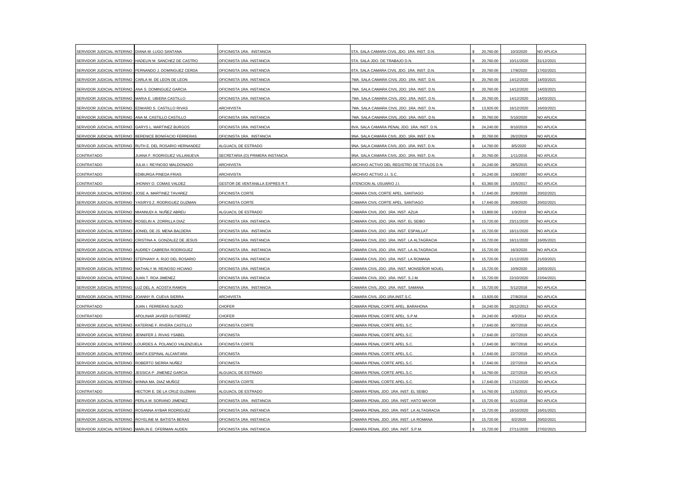| SERVIDOR JUDICIAL INTERINO DIANA M. LUGO SANTANA     |                                                        | OFICINISTA 1RA. INSTANCIA        | 5TA. SALA CAMARA CIVIL JDO. 1RA. INST. D.N. | 20,760.00 | 10/3/2020  | NO APLICA  |
|------------------------------------------------------|--------------------------------------------------------|----------------------------------|---------------------------------------------|-----------|------------|------------|
| SERVIDOR JUDICIAL INTERINO                           | HADELIN M. SANCHEZ DE CASTRO                           | OFICINISTA 1RA. INSTANCIA        | 5TA. SALA JDO. DE TRABAJO D.N.              | 20,760.00 | 10/11/2020 | 31/12/2021 |
|                                                      | SERVIDOR JUDICIAL INTERINO FERNANDO J. DOMINGUEZ CERDA | OFICINISTA 1RA. INSTANCIA        | 6TA. SALA CAMARA CIVIL JDO. 1RA. INST. D.N. | 20,760.00 | 17/8/2020  | 17/02/2021 |
| SERVIDOR JUDICIAL INTERINO                           | CARLA M. DE LEON DE LEON                               | OFICINISTA 1RA. INSTANCIA        | 7MA. SALA CAMARA CIVIL JDO. 1RA. INST. D.N. | 20,760.00 | 14/12/2020 | 14/03/2021 |
| SERVIDOR JUDICIAL INTERINO                           | ANA S. DOMINGUEZ GARCIA                                | OFICINISTA 1RA, INSTANCIA        | 7MA. SALA CAMARA CIVIL JDO. 1RA. INST. D.N. | 20,760.00 | 14/12/2020 | 14/03/2021 |
| SERVIDOR JUDICIAL INTERINO                           | MARIA E. UBIERA CASTILLO                               | OFICINISTA 1RA. INSTANCIA        | 7MA. SALA CAMARA CIVIL JDO. 1RA. INST. D.N. | 20,760.00 | 14/12/2020 | 14/03/2021 |
| SERVIDOR JUDICIAL INTERINO                           | EDWARD S. CASTILLO RIVAS                               | <b>ARCHIVISTA</b>                | 7MA. SALA CAMARA CIVIL JDO. 1RA. INST. D.N. | 13,920.00 | 16/12/2020 | 16/03/2021 |
| SERVIDOR JUDICIAL INTERINO                           | ANA M. CASTILLO CASTILLO                               | OFICINISTA 1RA, INSTANCIA        | 7MA, SALA CAMARA CIVIL JDO, 1RA, INST, D.N. | 20,760.00 | 5/10/2020  | NO APLICA  |
|                                                      | SERVIDOR JUDICIAL INTERINO GARYS L. MARTINEZ BURGOS    | OFICINISTA 1RA. INSTANCIA        | 8VA. SALA CAMARA PENAL JDO. 1RA. INST. D.N. | 24,240.00 | 8/10/2019  | NO APLICA  |
| SERVIDOR JUDICIAL INTERINO                           | BERENICE BONIFACIO FERRERAS                            | OFICINISTA 1RA. INSTANCIA        | 9NA. SALA CAMARA CIVIL JDO. 1RA. INST. D.N. | 20,760.00 | 26/2/2019  | NO APLICA  |
| SERVIDOR JUDICIAL INTERINO                           | RUTH E. DEL ROSARIO HERNANDEZ                          | ALGUACIL DE ESTRADO              | 9NA. SALA CAMARA CIVIL JDO. 1RA. INST. D.N. | 14,760.00 | 8/5/2020   | NO APLICA  |
| CONTRATADO                                           | JUANA F. RODRIGUEZ VILLANUEVA                          | SECRETARIA (O) PRIMERA INSTANCIA | 9NA. SALA CAMARA CIVIL JDO. 1RA. INST. D.N. | 20,760.00 | 1/11/2016  | NO APLICA  |
| CONTRATADO                                           | IULIA I. REYNOSO MALDONADO                             | ARCHIVISTA                       | ARCHIVO ACTIVO DEL REGISTRO DE TITULOS D.N. | 24,240.00 | 28/5/2015  | NO APLICA  |
| CONTRATADO                                           | EDIBURGA PINEDA FRIAS                                  | <b>ARCHIVISTA</b>                | ARCHIVO ACTIVO J.I. S.C.                    | 24,240.00 | 15/8/2007  | NO APLICA  |
| CONTRATADO                                           | JHONNY O. COMAS VALDEZ                                 | GESTOR DE VENTANILLA EXPRES R.T. | ATENCION AL USUARIO J.I.                    | 63,360.00 | 15/5/2017  | NO APLICA  |
| SERVIDOR JUDICIAL INTERINO                           | JOSE A. MARTINEZ TAVAREZ                               | OFICINISTA CORTE                 | CAMARA CIVIL CORTE APEL. SANTIAGO           | 17,640.00 | 20/8/2020  | 20/02/2021 |
| SERVIDOR JUDICIAL INTERINO                           | YASIRYS Z. RODRIGUEZ GUZMAN                            | OFICINISTA CORTE                 | CAMARA CIVIL CORTE APEL. SANTIAGO           | 17,640.00 | 20/8/2020  | 20/02/2021 |
| SERVIDOR JUDICIAL INTERINO                           | MIANNUDI A. NUÑEZ ABREU                                | ALGUACIL DE ESTRADO              | AMARA CIVIL JDO. 1RA. INST. AZUA            | 13,800.00 | 1/3/2019   | NO APLICA  |
| SERVIDOR JUDICIAL INTERINO                           | ROSELIN A. ZORRILLA DIAZ                               | OFICINISTA 1RA. INSTANCIA        | CAMARA CIVIL JDO. 1RA. INST. EL SEIBO       | 15,720.00 | 23/11/2020 | NO APLICA  |
| SERVIDOR JUDICIAL INTERINO                           | JONIEL DE JS. MENA BALDERA                             | OFICINISTA 1RA. INSTANCIA        | CAMARA CIVIL JDO. 1RA. INST. ESPAILLAT      | 15,720.00 | 16/11/2020 | NO APLICA  |
| SERVIDOR JUDICIAL INTERINO                           | CRISTINA A. GONZALEZ DE JESUS                          | OFICINISTA 1RA. INSTANCIA        | CAMARA CIVIL JDO. 1RA. INST. LA ALTAGRACIA  | 15,720.00 | 16/11/2020 | 16/05/2021 |
| SERVIDOR JUDICIAL INTERINO                           | AUDREY CABRERA RODRIGUEZ                               | OFICINISTA 1RA. INSTANCIA        | CAMARA CIVIL JDO, 1RA, INST, LA ALTAGRACIA  | 15,720.00 | 16/3/2020  | NO APLICA  |
| SERVIDOR JUDICIAL INTERINO                           | STEPHANY A. RIJO DEL ROSARIO                           | OFICINISTA 1RA. INSTANCIA        | CAMARA CIVIL JDO. 1RA. INST. LA ROMANA      | 15,720.00 | 21/12/2020 | 21/03/2021 |
| SERVIDOR JUDICIAL INTERINO                           | NATHALY M. REINOSO HICIANO                             | OFICINISTA 1RA. INSTANCIA        | CAMARA CIVIL JDO. 1RA. INST. MONSEÑOR NOUEL | 15,720.00 | 10/9/2020  | 10/03/2021 |
| SERVIDOR JUDICIAL INTERINO                           | JUAN T. ROA JIMENEZ                                    | OFICINISTA 1RA. INSTANCIA        | CAMARA CIVIL JDO. 1RA. INST. S.J.M.         | 15,720.00 | 22/10/2020 | 22/04/2021 |
| SERVIDOR JUDICIAL INTERINO                           | LUZ DEL A. ACOSTA RAMON                                | OFICINISTA 1RA. INSTANCIA        | CAMARA CIVIL JDO. 1RA. INST. SAMANA         | 15,720.00 | 5/12/2018  | NO APLICA  |
| SERVIDOR JUDICIAL INTERINO                           | JOANNY R. CUEVA SIERRA                                 | ARCHIVISTA                       | CAMARA CIVIL JDO.1RA.INST.S.C.              | 13,920.00 | 27/8/2018  | NO APLICA  |
| CONTRATADO                                           | IUAN I. FERRERAS SUAZO                                 | CHOFER                           | CAMARA PENAL CORTE APEL. BARAHONA           | 24,240.00 | 26/12/2013 | NO APLICA  |
| CONTRATADO                                           | APOLINAR JAVIER GUTIERREZ                              | <b>CHOFER</b>                    | CAMARA PENAL CORTE APEL. S.P.M.             | 24,240.00 | 4/3/2014   | NO APLICA  |
| SERVIDOR JUDICIAL INTERINO                           | KATERINE F. RIVERA CASTILLO                            | OFICINISTA CORTE                 | CAMARA PENAL CORTE APEL.S.C.                | 17,640.00 | 30/7/2018  | NO APLICA  |
| SERVIDOR JUDICIAL INTERINO                           | JENNIFER J. RIVAS YSABEL                               | <b>OFICINISTA</b>                | CAMARA PENAL CORTE APEL.S.C.                | 17,640.00 | 22/7/2019  | NO APLICA  |
| SERVIDOR JUDICIAL INTERINO                           | LOURDES A. POLANCO VALENZUELA                          | OFICINISTA CORTE                 | CAMARA PENAL CORTE APEL.S.C.                | 17,640.00 | 30/7/2018  | NO APLICA  |
| SERVIDOR JUDICIAL INTERINO                           | SANTA ESPINAL ALCANTARA                                | <b>OFICINISTA</b>                | CAMARA PENAL CORTE APEL.S.C                 | 17,640.00 | 22/7/2019  | NO APLICA  |
| SERVIDOR JUDICIAL INTERINO ROBERTO SIERRA NUÑEZ      |                                                        | <b>OFICINISTA</b>                | CAMARA PENAL CORTE APEL.S.C.                | 17,640.00 | 22/7/2019  | NO APLICA  |
| SERVIDOR JUDICIAL INTERINO                           | JESSICA P. JIMENEZ GARCIA                              | ALGUACIL DE ESTRADO              | CAMARA PENAL CORTE APEL.S.C.                | 14,760.00 | 22/7/2019  | NO APLICA  |
| SERVIDOR JUDICIAL INTERINO WINNA MA, DIAZ MUÑOZ      |                                                        | OFICINISTA CORTE                 | CAMARA PENAL CORTE APEL.S.C.                | 17,640.00 | 17/12/2020 | NO APLICA  |
| CONTRATADO                                           | HECTOR E. DE LA CRUZ GUZMAN                            | ALGUACIL DE ESTRADO              | CAMARA PENAL JDO. 1RA. INST. EL SEIBO       | 14,760.00 | 11/5/2015  | NO APLICA  |
| SERVIDOR JUDICIAL INTERINO PERLA M. SORIANO JIMENEZ  |                                                        | OFICINISTA 1RA. INSTANCIA        | CAMARA PENAL JDO. 1RA. INST. HATO MAYOR     | 15,720.00 | 6/11/2018  | NO APLICA  |
|                                                      | SERVIDOR JUDICIAL INTERINO ROSANNA AYBAR RODRIGUEZ     | OFICINISTA 1RA. INSTANCIA        | CAMARA PENAL JDO, 1RA, INST, LA ALTAGRACIA  | 15,720.00 | 16/10/2020 | 16/01/2021 |
| SERVIDOR JUDICIAL INTERINO ROYELINE M. BATISTA BERAS |                                                        | OFICINISTA 1RA. INSTANCIA        | CAMARA PENAL JDO. 1RA. INST. LA ROMANA      | 15,720.00 | 6/2/2020   | 20/02/2021 |
| SERVIDOR JUDICIAL INTERINO MARLIN E. OFERMAN AUDEN   |                                                        | OFICINISTA 1RA. INSTANCIA        | CAMARA PENAL JDO. 1RA. INST. S.P.M.         | 15,720.00 | 27/11/2020 | 27/02/2021 |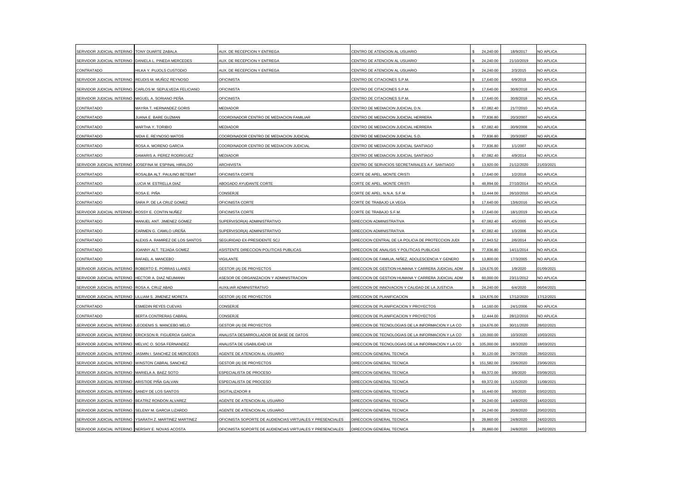| SERVIDOR JUDICIAL INTERINO                         | TONY DUARTE ZABALA                                     | AUX. DE RECEPCION Y ENTREGA                               | CENTRO DE ATENCION AL USUARIO                      | 24,240.00    | 18/9/2017  | NO APLICA  |
|----------------------------------------------------|--------------------------------------------------------|-----------------------------------------------------------|----------------------------------------------------|--------------|------------|------------|
| SERVIDOR JUDICIAL INTERINO                         | DANIELA L. PINEDA MERCEDES                             | AUX. DE RECEPCION Y ENTREGA                               | CENTRO DE ATENCION AL USUARIO                      | 24,240.00    | 21/10/2019 | NO APLICA  |
| CONTRATADO                                         | HILKA Y. PUJOLS CUSTODIO                               | AUX. DE RECEPCION Y ENTREGA                               | CENTRO DE ATENCION AL USUARIO                      | 24,240.00    | 2/3/2015   | NO APLICA  |
| SERVIDOR JUDICIAL INTERINO REUDIS M. MUÑOZ REYNOSO |                                                        | <b>OFICINISTA</b>                                         | CENTRO DE CITACIONES S.P.M.                        | 17,640.00    | 6/9/2018   | NO APLICA  |
| SERVIDOR JUDICIAL INTERINO                         | CARLOS M. SEPULVEDA FELICIANO                          | <b>OFICINISTA</b>                                         | CENTRO DE CITACIONES S.P.M.                        | 17,640.00    | 30/8/2018  | NO APLICA  |
| SERVIDOR JUDICIAL INTERINO                         | MIGUEL A. SORIANO PEÑA                                 | OFICINISTA                                                | CENTRO DE CITACIONES S.P.M.                        | 17,640.00    | 30/8/2018  | NO APLICA  |
| CONTRATADO                                         | MAYRA T. HERNANDEZ GORIS                               | MEDIADOR                                                  | CENTRO DE MEDIACION JUDICIAL D.N.                  | 67,082.40    | 21/7/2010  | NO APLICA  |
| CONTRATADO                                         | <b>JUANA E. BARE GUZMAN</b>                            | COORDINADOR CENTRO DE MEDIACION FAMILIAR                  | CENTRO DE MEDIACION JUDICIAL HERRERA               | 77,836.80    | 20/3/2007  | NO APLICA  |
| CONTRATADO                                         | MARTHA Y. TORIBIO                                      | <b>MEDIADOR</b>                                           | CENTRO DE MEDIACION JUDICIAL HERRERA               | 67,082.40    | 30/9/2008  | NO APLICA  |
| CONTRATADO                                         | NIDIA E. REYNOSO MATOS                                 | COORDINADOR CENTRO DE MEDIACION JUDICIAL                  | CENTRO DE MEDIACION JUDICIAL S.D.                  | 77,836.80    | 20/3/2007  | NO APLICA  |
| CONTRATADO                                         | ROSA A. MORENO GARCIA                                  | COORDINADOR CENTRO DE MEDIACION JUDICIAL                  | CENTRO DE MEDIACION JUDICIAL SANTIAGO              | 77,836,80    | 1/1/2007   | NO APLICA  |
| CONTRATADO                                         | DAMARIS A. PEREZ RODRIGUEZ                             | <b>MEDIADOR</b>                                           | CENTRO DE MEDIACION JUDICIAL SANTIAGO              | 67,082.40    | 4/9/2014   | NO APLICA  |
| SERVIDOR JUDICIAL INTERINO                         | JOSEFINA M. ESPINAL HIRALDO                            | ARCHIVISTA                                                | CENTRO DE SERVICIOS SECRETARIALES A.F. SANTIAGO    | 13,920.00    | 21/12/2020 | 1/03/2021  |
| CONTRATADO                                         | ROSALBA ALT. PAULINO BETEMIT                           | OFICINISTA CORTE                                          | CORTE DE APEL. MONTE CRISTI                        | 17,640.00    | 1/2/2016   | NO APLICA  |
| CONTRATADO                                         | <b>UCIA M. ESTRELLA DIAZ</b>                           | ABOGADO AYUDANTE CORTE                                    | CORTE DE APEL. MONTE CRISTI                        | 48.894.00    | 27/10/2014 | NO APLICA  |
| CONTRATADO                                         | ROSA E. PIÑA                                           | CONSERJE                                                  | CORTE DE APEL. N.N.A. S.F.M.                       | 12,444.00    | 26/10/2016 | NO APLICA  |
| CONTRATADO                                         | SARA P. DE LA CRUZ GOMEZ                               | OFICINISTA CORTE                                          | CORTE DE TRABAJO LA VEGA                           | 17,640.00    | 13/6/2016  | NO APLICA  |
| SERVIDOR JUDICIAL INTERINO                         | ROSSY E. CONTIN NUÑEZ                                  | OFICINISTA CORTE                                          | CORTE DE TRABAJO S.F.M.                            | 17,640.00    | 18/1/2019  | NO APLICA  |
| CONTRATADO                                         | MANUEL ANT. JIMENEZ GOMEZ                              | SUPERVISOR(A) ADMINISTRATIVO                              | DIRECCION ADMINISTRATIVA                           | 67,082.40    | 4/5/2005   | NO APLICA  |
| CONTRATADO                                         | CARMEN G. CAMILO UREÑA                                 | SUPERVISOR(A) ADMINISTRATIVO                              | DIRECCION ADMINISTRATIVA                           | 67,082.40    | 1/3/2006   | NO APLICA  |
| CONTRATADO                                         | ALEXIS A. RAMIREZ DE LOS SANTOS                        | SEGURIDAD EX-PRESIDENTE SCJ                               | DIRECCION CENTRAL DE LA POLICIA DE PROTECCION JUDI | 17,943.52    | 2/6/2014   | NO APLICA  |
| CONTRATADO                                         | JOANNY ALT. TEJADA GOMEZ                               | ASISTENTE DIRECCION POLITICAS PUBLICAS                    | DIRECCION DE ANALISIS Y POLITICAS PUBLICAS         | 77,836,80    | 14/11/2014 | NO APLICA  |
| CONTRATADO                                         | RAFAEL A. MANCEBO                                      | VIGILANTE                                                 | DIRECCION DE FAMILIA, NIÑEZ, ADOLESCENCIA Y GENERO | 13,800.00    | 17/3/2005  | NO APLICA  |
| SERVIDOR JUDICIAL INTERINO                         | ROBERTO E. PORRAS LLANES                               | <b>GESTOR (A) DE PROYECTOS</b>                            | DIRECCION DE GESTION HUMANA Y CARRERA JUDICIAL ADM | 124,676.00   | 1/9/2020   | 01/09/2021 |
| SERVIDOR JUDICIAL INTERINO                         | HECTOR A. DIAZ NEUMANN                                 | ASESOR DE ORGANIZACION Y ADMINISTRACION                   | DIRECCION DE GESTION HUMANA Y CARRERA JUDICIAL ADM | 60,000.00    | 23/11/2012 | NO APLICA  |
| SERVIDOR JUDICIAL INTERINO ROSA A. CRUZ ABAD       |                                                        | AUXILIAR ADMINISTRATIVO                                   | DIRECCION DE INNOVACION Y CALIDAD DE LA JUSTICIA   | 24,240.00    | 6/4/2020   | 06/04/2021 |
| SERVIDOR JUDICIAL INTERINO                         | LILLIAM S. JIMENEZ MORETA                              | <b>GESTOR (A) DE PROYECTOS</b>                            | DIRECCION DE PLANIFICACION                         | 124,676.00   | 17/12/2020 | 17/12/2021 |
| CONTRATADO                                         | ESMEDIN REYES CUEVAS                                   | CONSERJE                                                  | DIRECCION DE PLANIFICACION Y PROYECTOS             | 14,160.00    | 24/1/2006  | NO APLICA  |
| CONTRATADO                                         | BERTA CONTRERAS CABRAL                                 | CONSERJE                                                  | DIRECCION DE PLANIFICACION Y PROYECTOS             | 12,444.00    | 28/12/2016 | NO APLICA  |
| SERVIDOR JUDICIAL INTERINO                         | LEODENIS S. MANCEBO MELO                               | <b>GESTOR (A) DE PROYECTOS</b>                            | DIRECCION DE TECNOLOGIAS DE LA INFORMACION Y LA CO | 124,676.00   | 30/11/2020 | 28/02/2021 |
|                                                    | SERVIDOR JUDICIAL INTERINO ERICKSON R. FIGUEROA GARCIA | ANALISTA DESARROLLADOR DE BASE DE DATOS                   | DIRECCION DE TECNOLOGIAS DE LA INFORMACION Y LA CO | \$120,000.00 | 10/3/2020  | 10/03/2021 |
| SERVIDOR JUDICIAL INTERINO                         | MELVIC O. SOSA FERNANDEZ                               | ANALISTA DE USABILIDAD UX                                 | DIRECCION DE TECNOLOGIAS DE LA INFORMACION Y LA CO | 105,000.00   | 18/3/2020  | 18/03/2021 |
| SERVIDOR JUDICIAL INTERINO                         | JASMIN I. SANCHEZ DE MERCEDES                          | AGENTE DE ATENCION AL USUARIO                             | DIRECCION GENERAL TECNICA                          | 30.120.00    | 29/7/2020  | 28/02/2021 |
| SERVIDOR JUDICIAL INTERINO                         | WINSTON CABRAL SANCHEZ                                 | GESTOR (A) DE PROYECTOS                                   | DIRECCION GENERAL TECNICA                          | 151,582.00   | 23/6/2020  | 23/06/2021 |
| SERVIDOR JUDICIAL INTERINO                         | MARIELA A. BAEZ SOTO                                   | ESPECIALISTA DE PROCESO                                   | DIRECCION GENERAL TECNICA                          | 69,372.00    | 3/8/2020   | 03/08/2021 |
| SERVIDOR JUDICIAL INTERINO ARISTIDE PIÑA GALVAN    |                                                        | ESPECIALISTA DE PROCESO                                   | DIRECCION GENERAL TECNICA                          | 69,372.00    | 11/5/2020  | 11/08/2021 |
| SERVIDOR JUDICIAL INTERINO SANDY DE LOS SANTOS     |                                                        | DIGITALIZADOR II                                          | DIRECCION GENERAL TECNICA                          | 16,440.00    | 3/8/2020   | 03/02/2021 |
| SERVIDOR JUDICIAL INTERINO BEATRIZ RONDON ALVAREZ  |                                                        | AGENTE DE ATENCION AL USUARIO                             | DIRECCION GENERAL TECNICA                          | 24,240.00    | 14/8/2020  | 14/02/2021 |
| SERVIDOR JUDICIAL INTERINO                         | SELENY M. GARCIA LIZARDO                               | AGENTE DE ATENCION AL USUARIO                             | DIRECCION GENERAL TECNICA                          | 24,240.00    | 20/8/2020  | 20/02/2021 |
| SERVIDOR JUDICIAL INTERINO                         | YSARATH Z. MARTINEZ MARTINEZ                           | OFICINISTA SOPORTE DE AUDIENCIAS VIRTUALES Y PRESENCIALES | DIRECCION GENERAL TECNICA                          | 28,860.00    | 24/8/2020  | 24/02/2021 |
| SERVIDOR JUDICIAL INTERINO NERSHY E. NOVAS ACOSTA  |                                                        | OFICINISTA SOPORTE DE AUDIENCIAS VIRTUALES Y PRESENCIALES | DIRECCION GENERAL TECNICA                          | 28,860.00    | 24/8/2020  | 24/02/2021 |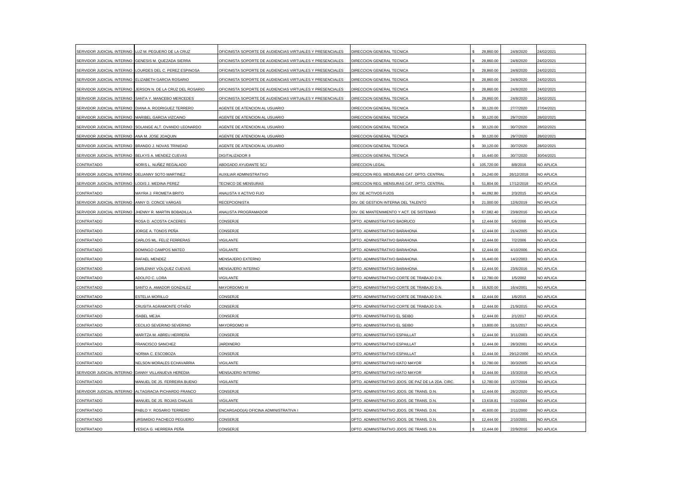| SERVIDOR JUDICIAL INTERINO                         | LUZ M. PEGUERO DE LA CRUZ                               | OFICINISTA SOPORTE DE AUDIENCIAS VIRTUALES Y PRESENCIALES | DIRECCION GENERAL TECNICA                          | 28,860.00  | 24/8/2020  | 24/02/2021       |
|----------------------------------------------------|---------------------------------------------------------|-----------------------------------------------------------|----------------------------------------------------|------------|------------|------------------|
| SERVIDOR JUDICIAL INTERINO                         | GENESIS M. QUEZADA SIERRA                               | OFICINISTA SOPORTE DE AUDIENCIAS VIRTUALES Y PRESENCIALES | DIRECCION GENERAL TECNICA                          | 28,860.00  | 24/8/2020  | 24/02/2021       |
| SERVIDOR JUDICIAL INTERINO                         | LOURDES DEL C. PEREZ ESPINOSA                           | OFICINISTA SOPORTE DE AUDIENCIAS VIRTUALES Y PRESENCIALES | DIRECCION GENERAL TECNICA                          | 28,860.00  | 24/8/2020  | 24/02/2021       |
| SERVIDOR JUDICIAL INTERINO                         | ELIZABETH GARCIA ROSARIO                                | OFICINISTA SOPORTE DE AUDIENCIAS VIRTUALES Y PRESENCIALES | DIRECCION GENERAL TECNICA                          | 28,860.00  | 24/8/2020  | 24/02/2021       |
| SERVIDOR JUDICIAL INTERINO                         | JERSON N. DE LA CRUZ DEL ROSARIO                        | OFICINISTA SOPORTE DE AUDIENCIAS VIRTUALES Y PRESENCIALES | DIRECCION GENERAL TECNICA                          | 28,860.00  | 24/8/2020  | 24/02/2021       |
| SERVIDOR JUDICIAL INTERINO                         | SANTA Y. MANCEBO MERCEDES                               | OFICINISTA SOPORTE DE AUDIENCIAS VIRTUALES Y PRESENCIALES | DIRECCION GENERAL TECNICA                          | 28,860.00  | 24/8/2020  | 24/02/2021       |
| SERVIDOR JUDICIAL INTERINO                         | DIANA A. RODRIGUEZ TERRERO                              | AGENTE DE ATENCION AL USUARIO                             | DIRECCION GENERAL TECNICA                          | 30,120.00  | 27/7/2020  | 27/04/2021       |
| SERVIDOR JUDICIAL INTERINO                         | MARIBEL GARCIA VIZCAINO                                 | AGENTE DE ATENCION AL USUARIO                             | DIRECCION GENERAL TECNICA                          | 30,120.00  | 29/7/2020  | 28/02/2021       |
|                                                    | SERVIDOR JUDICIAL INTERINO SOLANGE ALT. OVANDO LEONARDO | AGENTE DE ATENCION AL USUARIO                             | DIRECCION GENERAL TECNICA                          | 30,120.00  | 30/7/2020  | 28/02/2021       |
| SERVIDOR JUDICIAL INTERINO                         | ANA M. JOSE JOAQUIN                                     | AGENTE DE ATENCION AL USUARIO                             | DIRECCION GENERAL TECNICA                          | 30,120.00  | 29/7/2020  | 28/02/2021       |
| SERVIDOR JUDICIAL INTERINO                         | BRANDO J. NOVAS TRINIDAD                                | AGENTE DE ATENCION AL USUARIO                             | DIRECCION GENERAL TECNICA                          | 30,120.00  | 30/7/2020  | 28/02/2021       |
| SERVIDOR JUDICIAL INTERINO BELKYS A. MENDEZ CUEVAS |                                                         | <b>DIGITALIZADOR II</b>                                   | DIRECCION GENERAL TECNICA                          | 16,440.00  | 30/7/2020  | 30/04/2021       |
| CONTRATADO                                         | NORIS L. NUÑEZ REGALADO                                 | ABOGADO AYUDANTE SCJ                                      | DIRECCION LEGAL                                    | 105,720.00 | 8/8/2016   | NO APLICA        |
| SERVIDOR JUDICIAL INTERINO                         | DELIANNY SOTO MARTINEZ                                  | <b>AUXILIAR ADMINISTRATIVO</b>                            | DIRECCION REG. MENSURAS CAT. DPTO. CENTRAL         | 24,240.00  | 26/12/2018 | NO APLICA        |
| SERVIDOR JUDICIAL INTERINO                         | LODIS J. MEDINA PEREZ                                   | TECNICO DE MENSURAS                                       | DIRECCION REG. MENSURAS CAT. DPTO. CENTRAL         | 51,804.00  | 17/12/2018 | NO APLICA        |
| CONTRATADO                                         | MAYRA J. FROMETA BRITO                                  | ANALISTA II ACTIVO FIJO                                   | DIV. DE ACTIVOS FIJOS                              | 44,092.80  | 2/3/2015   | NO APLICA        |
| SERVIDOR JUDICIAL INTERINO                         | ANNY D. CONCE VARGAS                                    | RECEPCIONISTA                                             | DIV. DE GESTION INTERNA DEL TALENTO                | 21,000.00  | 12/6/2019  | NO APLICA        |
| SERVIDOR JUDICIAL INTERINO                         | JHENNY R. MARTIN BOBADILLA                              | ANALISTA PROGRAMADOR                                      | DIV. DE MANTENIMIENTO Y ACT. DE SISTEMAS           | 67,082.40  | 23/8/2016  | NO APLICA        |
| CONTRATADO                                         | ROSA D. ACOSTA CACERES                                  | CONSERJE                                                  | DPTO. ADMINISTRATIVO BAORUCO                       | 12,444.00  | 5/6/2006   | NO APLICA        |
| CONTRATADO                                         | JORGE A. TONOS PEÑA                                     | CONSERJE                                                  | DPTO. ADMINISTRATIVO BARAHONA                      | 12,444.00  | 21/4/2005  | NO APLICA        |
| CONTRATADO                                         | CARLOS ML. FELIZ FERRERAS                               | <b>VIGILANTE</b>                                          | DPTO. ADMINISTRATIVO BARAHONA                      | 12,444.00  | 7/2/2006   | NO APLICA        |
| CONTRATADO                                         | DOMINGO CAMPOS MATEO                                    | VIGILANTE                                                 | DPTO, ADMINISTRATIVO BARAHONA                      | 12,444.00  | 4/10/2006  | NO APLICA        |
| CONTRATADO                                         | RAFAEL MENDEZ                                           | MENSAJERO EXTERNO                                         | DPTO. ADMINISTRATIVO BARAHONA                      | 16,440.00  | 14/2/2003  | NO APLICA        |
| CONTRATADO                                         | DARLENNY VOLQUEZ CUEVAS                                 | <b>MENSAJERO INTERNO</b>                                  | OPTO. ADMINISTRATIVO BARAHONA                      | 12,444.00  | 23/6/2016  | NO APLICA        |
| CONTRATADO                                         | ADOLFO C. LORA                                          | <b>VIGILANTE</b>                                          | DPTO. ADMINISTRATIVO CORTE DE TRABAJO D.N.         | 12,780.00  | 1/5/2002   | <b>NO APLICA</b> |
| CONTRATADO                                         | SANTO A. AMADOR GONZALEZ                                | MAYORDOMO III                                             | DPTO. ADMINISTRATIVO CORTE DE TRABAJO D.N.         | 16,920.00  | 16/4/2001  | NO APLICA        |
| CONTRATADO                                         | <b>ESTELIA MORILLO</b>                                  | CONSERJE                                                  | DPTO. ADMINISTRATIVO CORTE DE TRABAJO D.N.         | 12,444.00  | 1/6/2015   | NO APLICA        |
| CONTRATADO                                         | CRUSITA AGRAMONTE OTAÑO                                 | CONSERJE                                                  | DPTO. ADMINISTRATIVO CORTE DE TRABAJO D.N.         | 12.444.00  | 21/9/2015  | NO APLICA        |
| CONTRATADO                                         | <b>ISABEL MEJIA</b>                                     | CONSERJE                                                  | DPTO. ADMINISTRATIVO EL SEIBO                      | 12,444.00  | 2/1/2017   | NO APLICA        |
| CONTRATADO                                         | CECILIO SEVERINO SEVERINO                               | MAYORDOMO III                                             | OPTO. ADMINISTRATIVO EL SEIBO                      | 13,800.00  | 31/1/2017  | NO APLICA        |
| CONTRATADO                                         | MARITZA M. ABREU HERRERA                                | CONSERJE                                                  | DPTO. ADMINISTRATIVO ESPAILLAT                     | 12,444.00  | 3/11/2003  | NO APLICA        |
| CONTRATADO                                         | FRANCISCO SANCHEZ                                       | <b>JARDINERO</b>                                          | DPTO. ADMINISTRATIVO ESPAILLAT                     | 12,444.00  | 28/3/2001  | NO APLICA        |
| <b>CONTRATADO</b>                                  | NORMA C. ESCOBOZA                                       | CONSERJE                                                  | DPTO. ADMINISTRATIVO ESPAILLAT                     | 12,444.00  | 29/12/2000 | NO APLICA        |
| CONTRATADO                                         | NELSON MORALES ECHAVARRIA                               | VIGILANTE                                                 | DPTO. ADMINISTRATIVO HATO MAYOR                    | 12,780.00  | 30/3/2005  | NO APLICA        |
| SERVIDOR JUDICIAL INTERINO                         | DANNY VILLANUEVA HEREDIA                                | MENSAJERO INTERNO                                         | OPTO. ADMINISTRATIVO HATO MAYOR                    | 12,444.00  | 15/3/2019  | NO APLICA        |
| CONTRATADO                                         | MANUEL DE JS. FERREIRA BUENO                            | <b>VIGILANTE</b>                                          | DPTO. ADMINISTRATIVO JDOS. DE PAZ DE LA 2DA. CIRC. | 12,780.00  | 15/7/2004  | <b>NO APLICA</b> |
| SERVIDOR JUDICIAL INTERINO                         | ALTAGRACIA PICHARDO FRANCO                              | CONSERJE                                                  | DPTO. ADMINISTRATIVO JDOS. DE TRANS. D.N.          | 12,444.00  | 28/2/2020  | NO APLICA        |
| CONTRATADO                                         | MANUEL DE JS. ROJAS CHALAS                              | VIGILANTE                                                 | DPTO. ADMINISTRATIVO JDOS. DE TRANS. D.N.          | 13,618.81  | 7/10/2004  | NO APLICA        |
| CONTRATADO                                         | PABLO Y. ROSARIO TERRERO                                | ENCARGADO(A) OFICINA ADMINISTRATIVA I                     | DPTO. ADMINISTRATIVO JDOS. DE TRANS. D.N.          | 45.600.00  | 2/11/2000  | <b>NO APLICA</b> |
| CONTRATADO                                         | JRSIMIDIO PACHECO PEGUERO                               | CONSERJE                                                  | DPTO. ADMINISTRATIVO JDOS. DE TRANS. D.N.          | 12,444.00  | 2/10/2001  | NO APLICA        |
| CONTRATADO                                         | YESICA G. HERRERA PEÑA                                  | CONSERJE                                                  | DPTO. ADMINISTRATIVO JDOS. DE TRANS. D.N.          | 12,444.00  | 22/9/2016  | NO APLICA        |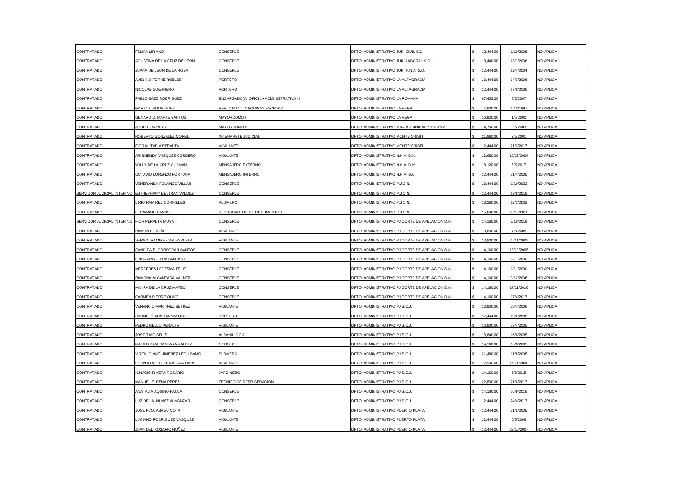| CONTRATADO                 | <b>FELIPA LIRIANO</b>           | CONSERJE                                | DPTO. ADMINISTRATIVO JUR. CIVIL S.D.            | 12,444.00 | 1/10/2008  | NO APLICA        |
|----------------------------|---------------------------------|-----------------------------------------|-------------------------------------------------|-----------|------------|------------------|
| CONTRATADO                 | AGUSTINA DE LA CRUZ DE LEON     | CONSERJE                                | DPTO. ADMINISTRATIVO JUR. LABORAL S.D.          | 13,440.00 | 23/1/2006  | NO APLICA        |
| CONTRATADO                 | JUANA DE LEON DE LA ROSA        | CONSERJE                                | DPTO. ADMINISTRATIVO JUR. N.N.A. S.D.           | 12,444.00 | 12/4/2004  | NO APLICA        |
| CONTRATADO                 | AVELINO FORNE ROBLES            | PORTERO                                 | DPTO. ADMINISTRATIVO LA ALTAGRACIA              | 12,444.00 | 14/3/2006  | NO APLICA        |
| CONTRATADO                 | NICOLAS GUERRERO                | PORTERO                                 | DPTO. ADMINISTRATIVO LA ALTAGRACIA              | 12,444.00 | 17/8/2006  | NO APLICA        |
| CONTRATADO                 | PABLO BAEZ RODRIGUEZ            | ENCARGADO(A) OFICINA ADMINISTRATIVA III | DPTO. ADMINISTRATIVO LA ROMANA                  | 67,405.20 | 8/3/2007   | NO APLICA        |
| CONTRATADO                 | MARIO J. RODRIGUEZ              | REP. Y MANT. MAQUINAS ESCRIBIR          | OPTO. ADMINISTRATIVO LA VEGA                    | 4,800.00  | 1/10/1997  | NO APLICA        |
| CONTRATADO                 | GENARO D. MARTE SANTOS          | MAYORDOMO I                             | DPTO, ADMINISTRATIVO LA VEGA                    | 16.920.00 | 1/5/2002   | NO APLICA        |
| CONTRATADO                 | JULIO GONZALEZ                  | MAYORDOMO II                            | DPTO. ADMINISTRATIVO MARIA TRINIDAD SANCHEZ     | 14,760.00 | 9/6/2003   | NO APLICA        |
| CONTRATADO                 | ROBERTO GONZALEZ MOREL          | INTERPRETE JUDICIAL                     | DPTO. ADMINISTRATIVO MONTE CRISTI               | 21,960.00 | 2/5/2001   | NO APLICA        |
| CONTRATADO                 | FIOR M. TAPIA PERALTA           | <b>VIGILANTE</b>                        | DPTO. ADMINISTRATIVO MONTE CRISTI               | 12,444.00 | 21/3/2017  | NO APLICA        |
| CONTRATADO                 | ARISMENDY VASQUEZ CORDERO       | VIGILANTE                               | DPTO. ADMINISTRATIVO N.N.A. D.N.                | 13,680.00 | 16/12/2004 | NO APLICA        |
| CONTRATADO                 | WILLY DE LA CRUZ GUZMAN         | MENSAJERO EXTERNO                       | DPTO. ADMINISTRATIVO N.N.A. D.N.                | 18,120.00 | 5/6/2017   | NO APLICA        |
| CONTRATADO                 | OCTAVIO LORENZO FORTUNA         | MENSAJERO INTERNO                       | DPTO. ADMINISTRATIVO N.N.A. S.C.                | 12,444.00 | 21/4/2005  | NO APLICA        |
| CONTRATADO                 | VENERANDA POLANCO VILLAR        | CONSERJE                                | DPTO. ADMINISTRATIVO P.J.C.N.                   | 12,444.00 | 1/10/2002  | NO APLICA        |
| SERVIDOR JUDICIAL INTERINO | ESTHEPHANY BELTRAN VALDEZ       | CONSERJE                                | DPTO. ADMINISTRATIVO P.J.C.N                    | 12,444.00 | 19/6/2018  | NO APLICA        |
| CONTRATADO                 | <b>IRIO RAMIREZ CORNIELES</b>   | PLOMERO                                 | DPTO. ADMINISTRATIVO P.J.C.N.                   | 18,360.00 | 12/2/2002  | NO APLICA        |
| CONTRATADO                 | FERNANDO BANKS                  | REPRODUCTOR DE DOCUMENTOS               | OPTO. ADMINISTRATIVO P.J.C.N.                   | 15,840.00 | 20/10/2016 | NO APLICA        |
| SERVIDOR JUDICIAL INTERINO | FIOR PERALTA MOYA               | CONSERJE                                | DPTO. ADMINISTRATIVO PJ CORTE DE APELACION D.N. | 14,160.00 | 2/10/2018  | NO APLICA        |
| CONTRATADO                 | RAMON E. DOÑE                   | VIGILANTE                               | DPTO. ADMINISTRATIVO PJ CORTE DE APELACION D.N. | 13,800.00 | 4/8/2005   | NO APLICA        |
| CONTRATADO                 | SERGIO RAMIREZ VALENZUELA       | VIGILANTE                               | DPTO. ADMINISTRATIVO PJ CORTE DE APELACION D.N. | 13,800.00 | 25/11/2005 | NO APLICA        |
| CONTRATADO                 | CANDIDA R. CORPORAN SANTOS      | CONSERJE                                | DPTO. ADMINISTRATIVO PJ CORTE DE APELACION D.N. | 14,160.00 | 13/12/2005 | NO APLICA        |
| CONTRATADO                 | LUISA ARBOLEDA SANTANA          | CONSERJE                                | DPTO. ADMINISTRATIVO PJ CORTE DE APELACION D.N. | 14,160.00 | 1/11/2000  | NO APLICA        |
| CONTRATADO                 | MERCEDES LEDESMA FELIZ          | CONSERJE                                | DPTO. ADMINISTRATIVO PJ CORTE DE APELACION D.N. | 14,160.00 | 1/11/2000  | NO APLICA        |
| CONTRATADO                 | RAMONA ALCANTARA VALDEZ         | CONSERJE                                | DPTO. ADMINISTRATIVO PJ CORTE DE APELACION D.N. | 14,160.00 | 9/12/2008  | <b>NO APLICA</b> |
| CONTRATADO                 | MAYRA DE LA CRUZ MATEO          | CONSERJE                                | DPTO. ADMINISTRATIVO PJ CORTE DE APELACION D.N. | 14,160.00 | 17/11/2016 | NO APLICA        |
| CONTRATADO                 | CARMEN PIERRE OLIVO             | CONSERJE                                | DPTO. ADMINISTRATIVO PJ CORTE DE APELACION D.N. | 14,160.00 | 17/4/2017  | NO APLICA        |
| CONTRATADO                 | VENANCIO MARTINEZ BETREZ        | VIGILANTE                               | DPTO. ADMINISTRATIVO PJ S.C.J                   | 13,800.00 | 28/4/2006  | NO APLICA        |
| CONTRATADO                 | CARMELO ACOSTA VASQUEZ          | PORTERO                                 | DPTO, ADMINISTRATIVO PJ S.C.J.                  | 17,444.00 | 15/2/2002  | NO APLICA        |
| CONTRATADO                 | PEDRO BELLO PERALTA             | <b>/IGILANTE</b>                        | DPTO. ADMINISTRATIVO PJ S.C.J                   | 13,800.00 | 27/4/2005  | NO APLICA        |
| CONTRATADO                 | JOSE TIMO SELIS                 | ALBANIL S.C.J.                          | DPTO. ADMINISTRATIVO PJ S.C.J.                  | 15,840.00 | 16/6/2005  | NO APLICA        |
| CONTRATADO                 | MATILDES ALCANTARA VALDEZ       | CONSERJE                                | DPTO. ADMINISTRATIVO PJ S.C.J.                  | 14,160.00 | 16/6/2005  | <b>NO APLICA</b> |
| CONTRATADO                 | VIRGILIO ANT. JIMENEZ LEGUISAMO | PLOMERO                                 | DPTO. ADMINISTRATIVO PJ S.C.,                   | 21,480.00 | 11/8/2005  | NO APLICA        |
| CONTRATADO                 | LEOPOLDO TEJEDA ALCANTARA       | <b>VIGILANTE</b>                        | DPTO. ADMINISTRATIVO PJ S.C.J.                  | 12,900.00 | 15/11/2000 | NO APLICA        |
| CONTRATADO                 | <b>IGNACIO RIVERA ROSARIO</b>   | <b>IARDINERO</b>                        | DPTO. ADMINISTRATIVO PJ S.C.J.                  | 14,160.00 | 6/8/2015   | NO APLICA        |
| CONTRATADO                 | MANUEL E. PEÑA PEREZ            | TECNICO DE REFRIGERACION                | DPTO, ADMINISTRATIVO PJ S.C.J.                  | 22,800.00 | 21/6/2017  | NO APLICA        |
| CONTRATADO                 | ANATALIA AQUINO PAULA           | CONSERJE                                | DPTO. ADMINISTRATIVO PJ S.C.J.                  | 14,160.00 | 26/9/2016  | NO APLICA        |
| CONTRATADO                 | LUZ DEL A. NUÑEZ ALMANZAR       | CONSERJE                                | DPTO. ADMINISTRATIVO PJ S.C.J.                  | 12,444.00 | 24/4/2017  | NO APLICA        |
| CONTRATADO                 | JOSE FCO, ABREU MOTA            | <b>VIGILANTE</b>                        | DPTO, ADMINISTRATIVO PUERTO PLATA               | 12.444.00 | 31/5/2005  | NO APLICA        |
| CONTRATADO                 | LUCIANO RODRIGUEZ VASQUEZ       | VIGILANTE                               | DPTO. ADMINISTRATIVO PUERTO PLATA               | 12,444.00 | 5/5/2006   | NO APLICA        |
| CONTRATADO                 | JUAN DEL ROSARIO NUÑEZ          | <b>VIGILANTE</b>                        | DPTO. ADMINISTRATIVO PUERTO PLATA               | 12,444.00 | 23/10/2007 | NO APLICA        |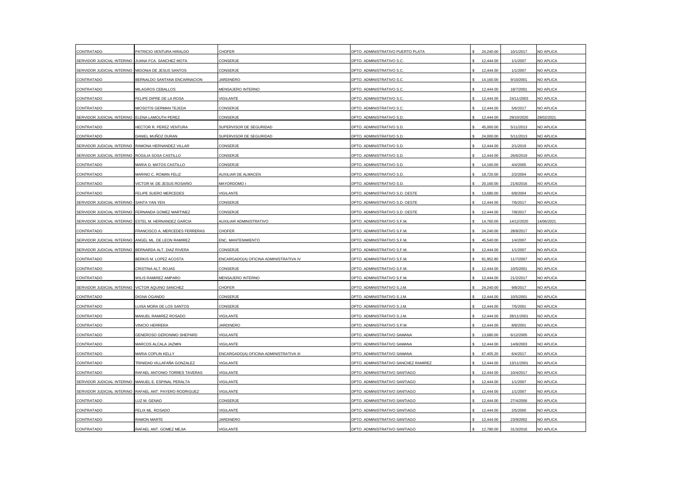| CONTRATADO                                         | PATRICIO VENTURA HIRALDO       | <b>CHOFER</b>                           | DPTO. ADMINISTRATIVO PUERTO PLATA    | 24,240.00 | 10/1/2017  | NO APLICA        |
|----------------------------------------------------|--------------------------------|-----------------------------------------|--------------------------------------|-----------|------------|------------------|
| SERVIDOR JUDICIAL INTERINO                         | JUANA FCA. SANCHEZ MOTA        | CONSERJE                                | DPTO. ADMINISTRATIVO S.C             | 12,444.00 | 1/1/2007   | NO APLICA        |
| SERVIDOR JUDICIAL INTERINO MIDONIA DE JESUS SANTOS |                                | CONSERJE                                | DPTO. ADMINISTRATIVO S.C.            | 12,444.00 | 1/1/2007   | NO APLICA        |
| CONTRATADO                                         | BERNALDO SANTANA ENCARNACION   | <b>JARDINERO</b>                        | DPTO. ADMINISTRATIVO S.C.            | 14,160.00 | 9/10/2001  | NO APLICA        |
| CONTRATADO                                         | MILAGROS CEBALLOS              | MENSAJERO INTERNO                       | DPTO, ADMINISTRATIVO S.C             | 12,444.00 | 18/7/2001  | NO APLICA        |
| CONTRATADO                                         | FELIPE DIPRE DE LA ROSA        | <b>VIGILANTE</b>                        | DPTO. ADMINISTRATIVO S.C.            | 12,444.00 | 24/11/2003 | NO APLICA        |
| CONTRATADO                                         | MIOSOTIS GERMAN TEJEDA         | CONSERJE                                | OPTO. ADMINISTRATIVO S.C.            | 12,444.00 | 5/6/2017   | NO APLICA        |
| SERVIDOR JUDICIAL INTERINO ELENA LAMOUTH PEREZ     |                                | CONSERJE                                | DPTO. ADMINISTRATIVO S.D.            | 12,444.00 | 29/10/2020 | 28/02/2021       |
| CONTRATADO                                         | HECTOR R. PEREZ VENTURA        | SUPERVISOR DE SEGURIDAD                 | DPTO. ADMINISTRATIVO S.D.            | 45,000.00 | 5/11/2013  | NO APLICA        |
| CONTRATADO                                         | DANIEL MUÑOZ DURAN             | SUPERVISOR DE SEGURIDAD                 | DPTO. ADMINISTRATIVO S.D.            | 24,000.00 | 5/11/2013  | NO APLICA        |
| SERVIDOR JUDICIAL INTERINO                         | RAMONA HERNANDEZ VILLAR        | CONSERJE                                | DPTO. ADMINISTRATIVO S.D.            | 12,444.00 | 2/1/2019   | <b>NO APLICA</b> |
| SERVIDOR JUDICIAL INTERINO                         | ROGILIA SOSA CASTILLO          | CONSERJE                                | DPTO. ADMINISTRATIVO S.D.            | 12,444.00 | 26/6/2019  | NO APLICA        |
| CONTRATADO                                         | MARIA D. MATOS CASTILLO        | CONSERJE                                | DPTO. ADMINISTRATIVO S.D.            | 14,160.00 | 4/4/2005   | NO APLICA        |
| CONTRATADO                                         | MARINO C. ROMAN FELIZ          | AUXILIAR DE ALMACEN                     | DPTO. ADMINISTRATIVO S.D.            | 18,720.00 | 2/2/2004   | NO APLICA        |
| CONTRATADO                                         | VICTOR M. DE JESUS ROSARIO     | MAYORDOMO I                             | DPTO. ADMINISTRATIVO S.D.            | 20,160.00 | 21/6/2016  | NO APLICA        |
| CONTRATADO                                         | FELIPE SUERO MERCEDES          | VIGILANTE                               | DPTO. ADMINISTRATIVO S.D. OESTE      | 13,680.00 | 6/8/2004   | NO APLICA        |
| SERVIDOR JUDICIAL INTERINO                         | SANTA YAN YEN                  | CONSERJE                                | DPTO. ADMINISTRATIVO S.D. OESTE      | 12,444.00 | 7/6/2017   | NO APLICA        |
| SERVIDOR JUDICIAL INTERINO                         | FERNANDA GOMEZ MARTINEZ        | CONSERJE                                | OPTO. ADMINISTRATIVO S.D. OESTE      | 12,444.00 | 7/8/2017   | <b>NO APLICA</b> |
| SERVIDOR JUDICIAL INTERINO                         | ESTEL M. HERNANDEZ GARCIA      | AUXILIAR ADMINISTRATIVO                 | DPTO. ADMINISTRATIVO S.F.M.          | 14,760.00 | 14/12/2020 | 14/06/2021       |
| CONTRATADO                                         | FRANCISCO A. MERCEDES FERRERAS | <b>CHOFER</b>                           | DPTO. ADMINISTRATIVO S.F.M.          | 24,240.00 | 28/8/2017  | NO APLICA        |
| SERVIDOR JUDICIAL INTERINO                         | ANGEL ML. DE LEON RAMIREZ      | ENC. MANTENIMIENTO                      | DPTO. ADMINISTRATIVO S.F.M.          | 45,540.00 | 1/4/2007   | NO APLICA        |
| SERVIDOR JUDICIAL INTERINO                         | BERNARDA ALT, DIAZ RIVERA      | CONSERJE                                | DPTO, ADMINISTRATIVO S.F.M.          | 12.444.00 | 1/1/2007   | NO APLICA        |
| CONTRATADO                                         | BERKIS M. LOPEZ ACOSTA         | ENCARGADO(A) OFICINA ADMINISTRATIVA IV  | DPTO. ADMINISTRATIVO S.F.M.          | 81,952.80 | 11/7/2007  | NO APLICA        |
| CONTRATADO                                         | CRISTINA ALT. ROJAS            | CONSERJE                                | DPTO. ADMINISTRATIVO S.F.M.          | 12,444.00 | 10/5/2001  | NO APLICA        |
| CONTRATADO                                         | WILIS RAMIREZ AMPARO           | MENSAJERO INTERNO                       | DPTO. ADMINISTRATIVO S.F.M.          | 12,444.00 | 21/2/2017  | <b>NO APLICA</b> |
| SERVIDOR JUDICIAL INTERINO                         | VICTOR AQUINO SANCHEZ          | CHOFER                                  | DPTO. ADMINISTRATIVO S.J.M.          | 24,240.00 | 9/8/2017   | NO APLICA        |
| CONTRATADO                                         | DIGNA OGANDO                   | CONSERJE                                | DPTO. ADMINISTRATIVO S.J.M.          | 12,444.00 | 10/5/2001  | NO APLICA        |
| CONTRATADO                                         | LUISA MORA DE LOS SANTOS       | CONSERJE                                | DPTO. ADMINISTRATIVO S.J.M.          | 12,444.00 | 7/5/2001   | NO APLICA        |
| CONTRATADO                                         | MANUEL RAMIREZ ROSADO          | VIGILANTE                               | DPTO. ADMINISTRATIVO S.J.M.          | 12,444.00 | 28/11/2001 | NO APLICA        |
| CONTRATADO                                         | <b>VINICIO HERRERA</b>         | <b>IARDINERO</b>                        | DPTO. ADMINISTRATIVO S.P.M.          | 12,444.00 | 8/8/2001   | NO APLICA        |
| CONTRATADO                                         | GENEROSO GERONIMO SHEPARD      | VIGILANTE                               | DPTO. ADMINISTRATIVO SAMANA          | 13,680.00 | 6/12/2005  | NO APLICA        |
| CONTRATADO                                         | MARCOS ALCALA JAZMIN           | <b>VIGILANTE</b>                        | DPTO. ADMINISTRATIVO SAMANA          | 12,444.00 | 14/8/2003  | <b>NO APLICA</b> |
| CONTRATADO                                         | MARIA COPLIN KELLY             | ENCARGADO(A) OFICINA ADMINISTRATIVA III | DPTO, ADMINISTRATIVO SAMANA          | 67,405.20 | 6/4/2017   | NO APLICA        |
| CONTRATADO                                         | TRINIDAD VILLAFAÑA GONZALEZ    | VIGILANTE                               | DPTO. ADMINISTRATIVO SANCHEZ RAMIREZ | 12,444.00 | 13/11/2001 | NO APLICA        |
| CONTRATADO                                         | RAFAEL ANTONIO TORRES TAVERAS  | VIGILANTE                               | DPTO. ADMINISTRATIVO SANTIAGO        | 12,444.00 | 10/4/2017  | NO APLICA        |
| SERVIDOR JUDICIAL INTERINO                         | MANUEL E. ESPINAL PERALTA      | VIGILANTE                               | DPTO, ADMINISTRATIVO SANTIAGO        | 12.444.00 | 1/1/2007   | NO APLICA        |
| SERVIDOR JUDICIAL INTERINO                         | RAFAEL ANT. PAYERO RODRIGUEZ   | VIGILANTE                               | DPTO. ADMINISTRATIVO SANTIAGO        | 12,444.00 | 1/1/2007   | NO APLICA        |
| CONTRATADO                                         | LUZ M. GENAO                   | CONSERJE                                | DPTO. ADMINISTRATIVO SANTIAGO        | 12,444.00 | 27/4/2006  | NO APLICA        |
| CONTRATADO                                         | FELIX ML, ROSADO               | <b>VIGILANTE</b>                        | DPTO, ADMINISTRATIVO SANTIAGO        | 12.444.00 | 2/5/2000   | NO APLICA        |
| CONTRATADO                                         | <b>RAMON MARTE</b>             | <b>IARDINERO</b>                        | DPTO. ADMINISTRATIVO SANTIAGO        | 12,444.00 | 23/9/2002  | NO APLICA        |
| CONTRATADO                                         | RAFAEL ANT. GOMEZ MEJIA        | <b>VIGILANTE</b>                        | DPTO. ADMINISTRATIVO SANTIAGO        | 12,780.00 | 31/3/2016  | NO APLICA        |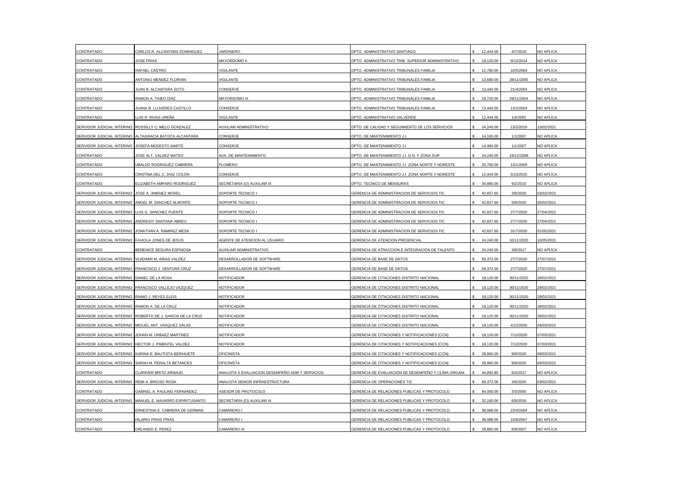| CONTRATADO                                        | CARLOS R. ALCANTARA DOMINGUEZ                              | <b>JARDINERO</b>                                 | DPTO. ADMINISTRATIVO SANTIAGO                      | 12,444.00 | 4/7/2016   | NO APLICA        |
|---------------------------------------------------|------------------------------------------------------------|--------------------------------------------------|----------------------------------------------------|-----------|------------|------------------|
| CONTRATADO                                        | <b>JOSE FRIAS</b>                                          | <b>MAYORDOMO II</b>                              | DPTO. ADMINISTRATIVO TRIB. SUPERIOR ADMINISTRATIVO | 18,120.00 | 9/12/2014  | NO APLICA        |
| CONTRATADO                                        | RAFAEL CASTRO                                              | VIGILANTE                                        | DPTO. ADMINISTRATIVO TRIBUNALES FAMILIA            | 12,780.00 | 10/5/2004  | NO APLICA        |
| CONTRATADO                                        | ANTONIO MENDEZ FLORIAN                                     | VIGILANTE                                        | DPTO. ADMINISTRATIVO TRIBUNALES FAMILIA            | 13,680.00 | 28/11/2005 | NO APLICA        |
| CONTRATADO                                        | IUAN B. ALCANTARA SOTO                                     | CONSERJE                                         | DPTO, ADMINISTRATIVO TRIBUNALES FAMILIA            | 13,440.00 | 21/4/2004  | NO APLICA        |
| CONTRATADO                                        | RAMON A. TINEO DIAZ                                        | MAYORDOMO III                                    | DPTO. ADMINISTRATIVO TRIBUNALES FAMILIA            | 18,720.00 | 29/11/2004 | NO APLICA        |
| CONTRATADO                                        | IUANA B. LLUVERES CASTILLO                                 | CONSERJE                                         | OPTO. ADMINISTRATIVO TRIBUNALES FAMILIA            | 13,440.00 | 13/2/2004  | NO APLICA        |
| CONTRATADO                                        | LUIS R. RIVAS UREÑA                                        | <b>VIGILANTE</b>                                 | DPTO, ADMINISTRATIVO VALVERDE                      | 12,444.00 | 1/4/2002   | <b>NO APLICA</b> |
|                                                   | SERVIDOR JUDICIAL INTERINO ROSSILLY C. MELO GONZALEZ       | AUXILIAR ADMINISTRATIVO                          | DPTO. DE CALIDAD Y SEGUIMIENTO DE LOS SERVICIOS    | 24,240.00 | 13/2/2019  | 13/02/2021       |
| SERVIDOR JUDICIAL INTERINO                        | ALTAGRACIA BATISTA ALCANTARA                               | CONSERJE                                         | DPTO. DE MANTENIMIENTO J.I                         | 14,160.00 | 1/1/2007   | NO APLICA        |
| SERVIDOR JUDICIAL INTERINO                        | JOSEFA MODESTO MARTE                                       | CONSERJE                                         | DPTO. DE MANTENIMIENTO J.I.                        | 14,484.00 | 1/1/2007   | NO APLICA        |
| CONTRATADO                                        | <b>IOSE ALT. VALDEZ MATEO</b>                              | AUX. DE MANTENIMIENTO                            | DPTO. DE MANTENIMIENTO J.I. D.N. Y ZONA SUR        | 24,240.00 | 19/12/2008 | NO APLICA        |
| CONTRATADO                                        | JBALDO RODRIGUEZ CABRERA                                   | PLOMERO                                          | DPTO. DE MANTENIMIENTO J.I. ZONA NORTE Y NORESTE   | 20,760.00 | 13/1/2009  | NO APLICA        |
| CONTRATADO                                        | CRISTINA DEL C. DIAZ COLON                                 | CONSERJE                                         | DPTO. DE MANTENIMIENTO J.I. ZONA NORTE Y NORESTE   | 12,444.00 | 5/10/2015  | NO APLICA        |
| CONTRATADO                                        | ELIZABETH AMPARO RODRIGUEZ                                 | SECRETARIA (O) AUXILIAR III                      | DPTO. TECNICO DE MENSURAS                          | 34,980.00 | 9/2/2015   | NO APLICA        |
| SERVIDOR JUDICIAL INTERINO                        | JOSE A. JIMENEZ MOREL                                      | SOPORTE TECNICO I                                | GERENCIA DE ADMINISTRACION DE SERVICIOS TIC        | 42,657.60 | 3/8/2020   | 03/02/2021       |
| SERVIDOR JUDICIAL INTERINO                        | ANGEL M. SANCHEZ ALMONTE                                   | SOPORTE TECNICO I                                | GERENCIA DE ADMINISTRACION DE SERVICIOS TIC        | 42,657.60 | 5/8/2020   | 05/02/2021       |
| SERVIDOR JUDICIAL INTERINO                        | LUIS G. SANCHEZ PUENTE                                     | SOPORTE TECNICO I                                | SERENCIA DE ADMINISTRACION DE SERVICIOS TIC        | 42,657.60 | 27/7/2020  | 27/04/2021       |
| SERVIDOR JUDICIAL INTERINO                        | ANDREIDY SANTANA ABREU                                     | SOPORTE TECNICO I                                | GERENCIA DE ADMINISTRACION DE SERVICIOS TIC        | 42,657.60 | 27/7/2020  | 27/04/2021       |
| SERVIDOR JUDICIAL INTERINO                        | JONATHAN A. RAMIREZ MESA                                   | SOPORTE TECNICO I                                | GERENCIA DE ADMINISTRACION DE SERVICIOS TIC        | 42,657.60 | 31/7/2020  | 01/05/2021       |
| SERVIDOR JUDICIAL INTERINO FAVIOLA JONES DE JESUS |                                                            | AGENTE DE ATENCION AL USUARIO                    | GERENCIA DE ATENCION PRESENCIAL                    | 24,240.00 | 10/11/2020 | 10/05/2021       |
| CONTRATADO                                        | BERENICE SEGURA ESPINOSA                                   | <b>AUXILIAR ADMINISTRATIVO</b>                   | GERENCIA DE ATRACCION E INTEGRACION DE TALENTO     | 24,240.00 | 3/8/2017   | <b>NO APLICA</b> |
| SERVIDOR JUDICIAL INTERINO                        | VLADIMIR M. ARIAS VALDEZ                                   | DESARROLLADOR DE SOFTWARE                        | GERENCIA DE BASE DE DATOS                          | 69,372.00 | 27/7/2020  | 27/07/2021       |
| SERVIDOR JUDICIAL INTERINO                        | FRANCISCO J. VENTURA CRUZ                                  | DESARROLLADOR DE SOFTWARE                        | GERENCIA DE BASE DE DATOS                          | 69,372.00 | 27/7/2020  | 27/07/2021       |
| SERVIDOR JUDICIAL INTERINO DANIEL DE LA ROSA      |                                                            | NOTIFICADOR                                      | GERENCIA DE CITACIONES DISTRITO NACIONAL           | 18,120.00 | 30/11/2020 | 28/02/2021       |
|                                                   | SERVIDOR JUDICIAL INTERINO FRANCISCO VALLEJO VAZQUEZ       | NOTIFICADOR                                      | GERENCIA DE CITACIONES DISTRITO NACIONAL           | 18,120.00 | 30/11/2020 | 28/02/2021       |
| SERVIDOR JUDICIAL INTERINO RAIMO J. REYES ELEIS   |                                                            | NOTIFICADOR                                      | GERENCIA DE CITACIONES DISTRITO NACIONAL           | 18,120.00 | 30/11/2020 | 28/02/2021       |
| SERVIDOR JUDICIAL INTERINO                        | RAMON A. DE LA CRUZ                                        | NOTIFICADOR                                      | GERENCIA DE CITACIONES DISTRITO NACIONAL           | 18,120.00 | 30/11/2020 | 28/02/2021       |
| SERVIDOR JUDICIAL INTERINO                        | ROBERTO DE J. GARCIA DE LA CRUZ                            | NOTIFICADOR                                      | GERENCIA DE CITACIONES DISTRITO NACIONAL           | 18,120.00 | 30/11/2020 | 28/02/2021       |
| SERVIDOR JUDICIAL INTERINO                        | MIGUEL ANT. VASQUEZ SALAS                                  | NOTIFICADOR                                      | GERENCIA DE CITACIONES DISTRITO NACIONAL           | 18,120.00 | 4/12/2020  | 04/03/2021       |
| SERVIDOR JUDICIAL INTERINO                        | JOHAN M. URBAEZ MARTINEZ                                   | NOTIFICADOR                                      | GERENCIA DE CITACIONES Y NOTIFICACIONES (CCN)      | 18,120.00 | 7/12/2020  | 07/03/2021       |
|                                                   | SERVIDOR JUDICIAL INTERINO HECTOR J. PIMENTEL VALDEZ       | NOTIFICADOR                                      | GERENCIA DE CITACIONES Y NOTIFICACIONES (CCN)      | 18,120.00 | 7/12/2020  | 07/03/2021       |
| SERVIDOR JUDICIAL INTERINO                        | KARINA E. BAUTISTA BERIHUETE                               | <b>OFICINISTA</b>                                | GERENCIA DE CITACIONES Y NOTIFICACIONES (CCN)      | 28,860.00 | 9/9/2020   | 09/03/2021       |
| SERVIDOR JUDICIAL INTERINO                        | SARAH M. PERALTA BETANCES                                  | OFICINISTA                                       | GERENCIA DE CITACIONES Y NOTIFICACIONES (CCN)      | 28,860.00 | 9/9/2020   | 09/03/2021       |
| CONTRATADO                                        | CLARIVER BRITO ARNAUD                                      | ANALISTA II EVALUACION DESEMPEÑO ADM Y SERVICIOS | GERENCIA DE EVALUACION DE DESEMPEÑO Y CLIMA ORGANI | 44,092.80 | 6/3/2017   | NO APLICA        |
| SERVIDOR JUDICIAL INTERINO REMI A. BRIOSO ROSA    |                                                            | ANALISTA SENIOR INFRAESTRUCTURA                  | GERENCIA DE OPERACIONES TIC                        | 69.372.00 | 3/8/2020   | 03/02/2021       |
| CONTRATADO                                        | GABRIEL A. PAULINO FERNANDEZ                               | ASESOR DE PROTOCOLO                              | GERENCIA DE RELACIONES PUBLICAS Y PROTOCOLO        | 84,000.00 | 3/3/2005   | NO APLICA        |
|                                                   | SERVIDOR JUDICIAL INTERINO MANUEL E. NAVARRO ESPIRITUSANTO | SECRETARIA (O) AUXILIAR III                      | GERENCIA DE RELACIONES PUBLICAS Y PROTOCOLO        | 32,160.00 | 6/9/2018   | NO APLICA        |
| CONTRATADO                                        | ERNESTINA E. CABRERA DE GERMAN                             | CAMARERO I                                       | GERENCIA DE RELACIONES PUBLICAS Y PROTOCOLO        | 38,088,00 | 22/4/2004  | NO APLICA        |
| CONTRATADO                                        | HILARIO FRIAS FRIAS                                        | CAMARERO I                                       | GERENCIA DE RELACIONES PUBLICAS Y PROTOCOLO        | 38,088.00 | 15/8/2007  | NO APLICA        |
| CONTRATADO                                        | ORLANDO E. PEREZ                                           | CAMARERO III                                     | GERENCIA DE RELACIONES PUBLICAS Y PROTOCOLO        | 28,860.00 | 6/9/2007   | NO APLICA        |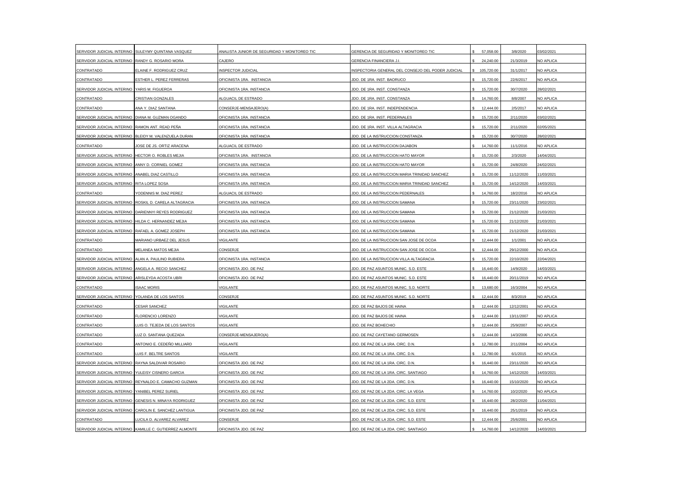|                                                    | SERVIDOR JUDICIAL INTERINO SULEYMY QUINTANA VASQUEZ     | ANALISTA JUNIOR DE SEGURIDAD Y MONITOREO TIC | GERENCIA DE SEGURIDAD Y MONITOREO TIC              | 57,058.00     | 3/8/2020   | 03/02/2021 |
|----------------------------------------------------|---------------------------------------------------------|----------------------------------------------|----------------------------------------------------|---------------|------------|------------|
| SERVIDOR JUDICIAL INTERINO RANDY G. ROSARIO MORA   |                                                         | CAJERO                                       | GERENCIA FINANCIERA J.I                            | 24,240.00     | 21/3/2019  | NO APLICA  |
| CONTRATADO                                         | ELAINE F. RODRIGUEZ CRUZ                                | INSPECTOR JUDICIAL                           | INSPECTORIA GENERAL DEL CONSEJO DEL PODER JUDICIAL | \$ 105,720.00 | 31/1/2017  | NO APLICA  |
| CONTRATADO                                         | ESTHER L. PEREZ FERRERAS                                | OFICINISTA 1RA. INSTANCIA                    | JDO. DE 1RA. INST. BAORUCO                         | 15,720.00     | 22/6/2017  | NO APLICA  |
| SERVIDOR JUDICIAL INTERINO                         | YARIS M. FIGUEROA                                       | OFICINISTA 1RA. INSTANCIA                    | JDO. DE 1RA. INST. CONSTANZA                       | 15,720.00     | 30/7/2020  | 28/02/2021 |
| CONTRATADO                                         | CRISTIAN GONZALES                                       | ALGUACIL DE ESTRADO                          | JDO. DE 1RA. INST. CONSTANZA                       | 14,760.00     | 8/8/2007   | NO APLICA  |
| CONTRATADO                                         | ANA Y. DIAZ SANTANA                                     | CONSERJE-MENSAJERO(A)                        | IDO. DE 1RA. INST. INDEPENDENCIA                   | 12,444.00     | 2/5/2017   | NO APLICA  |
| SERVIDOR JUDICIAL INTERINO                         | DIANA M. GUZMAN OGANDO                                  | OFICINISTA 1RA. INSTANCIA                    | JDO. DE 1RA. INST. PEDERNALES                      | 15,720.00     | 2/11/2020  | 03/02/2021 |
| SERVIDOR JUDICIAL INTERINO                         | RAMON ANT. READ PEÑA                                    | OFICINISTA 1RA. INSTANCIA                    | JDO. DE 1RA. INST. VILLA ALTAGRACIA                | 15,720.00     | 2/11/2020  | 02/05/2021 |
| SERVIDOR JUDICIAL INTERINO                         | BLEIDY M. VALENZUELA DURAN                              | OFICINISTA 1RA. INSTANCIA                    | JDO. DE LA INSTRUCCION CONSTANZA                   | 15,720.00     | 30/7/2020  | 28/02/2021 |
| CONTRATADO                                         | JOSE DE JS. ORTIZ ARACENA                               | ALGUACIL DE ESTRADO                          | JDO. DE LA INSTRUCCION DAJABON                     | 14.760.00     | 11/1/2016  | NO APLICA  |
| SERVIDOR JUDICIAL INTERINO                         | HECTOR O. ROBLES MEJIA                                  | OFICINISTA 1RA. INSTANCIA                    | JDO. DE LA INSTRUCCION HATO MAYOR                  | 15,720.00     | 2/3/2020   | 14/04/2021 |
| SERVIDOR JUDICIAL INTERINO                         | ANNY D. CORNIEL GOMEZ                                   | OFICINISTA 1RA. INSTANCIA                    | JDO. DE LA INSTRUCCION HATO MAYOR                  | 15,720.00     | 24/8/2020  | 24/02/2021 |
| SERVIDOR JUDICIAL INTERINO ANABEL DIAZ CASTILLO    |                                                         | OFICINISTA 1RA. INSTANCIA                    | JDO. DE LA INSTRUCCION MARIA TRINIDAD SANCHEZ      | 15,720.00     | 11/12/2020 | 11/03/2021 |
| SERVIDOR JUDICIAL INTERINO RITA LOPEZ SOSA         |                                                         | OFICINISTA 1RA. INSTANCIA                    | JDO. DE LA INSTRUCCION MARIA TRINIDAD SANCHEZ      | 15,720.00     | 14/12/2020 | 14/03/2021 |
| CONTRATADO                                         | YODENNIS M. DIAZ PEREZ                                  | ALGUACIL DE ESTRADO                          | JDO. DE LA INSTRUCCION PEDERNALES                  | 14,760.00     | 18/2/2016  | NO APLICA  |
|                                                    | SERVIDOR JUDICIAL INTERINO ROSKIL D. CARELA ALTAGRACIA  | OFICINISTA 1RA. INSTANCIA                    | JDO. DE LA INSTRUCCION SAMANA                      | 15,720.00     | 23/11/2020 | 23/02/2021 |
| SERVIDOR JUDICIAL INTERINO                         | DARIENNYI REYES RODRIGUEZ                               | OFICINISTA 1RA. INSTANCIA                    | JDO. DE LA INSTRUCCION SAMANA                      | 15,720.00     | 21/12/2020 | 21/03/2021 |
| SERVIDOR JUDICIAL INTERINO                         | HILDA C. HERNANDEZ MEJIA                                | OFICINI <u>STA 1RA. INSTANCIA</u>            | JDO. DE LA INSTRUCCION SAMANA                      | 15,720.00     | 21/12/2020 | 21/03/2021 |
| SERVIDOR JUDICIAL INTERINO RAFAEL A. GOMEZ JOSEPH  |                                                         | OFICINISTA 1RA. INSTANCIA                    | JDO. DE LA INSTRUCCION SAMANA                      | 15,720.00     | 21/12/2020 | 21/03/2021 |
| CONTRATADO                                         | MARIANO URBAEZ DEL JESUS                                | VIGILANTE                                    | JDO. DE LA INSTRUCCION SAN JOSE DE OCOA            | 12,444.00     | 1/1/2001   | NO APLICA  |
| CONTRATADO                                         | MELANEA MATOS MEJIA                                     | CONSERJE                                     | JDO. DE LA INSTRUCCION SAN JOSE DE OCOA            | 12,444.00     | 29/12/2000 | NO APLICA  |
| SERVIDOR JUDICIAL INTERINO ALAN A. PAULINO RUBIERA |                                                         | OFICINISTA 1RA. INSTANCIA                    | JDO. DE LA INSTRUCCION VILLA ALTAGRACIA            | 15,720.00     | 22/10/2020 | 22/04/2021 |
| SERVIDOR JUDICIAL INTERINO                         | ANGELA A. RECIO SANCHEZ                                 | OFICINISTA JDO. DE PAZ                       | JDO. DE PAZ ASUNTOS MUNIC. S.D. ESTE               | 16,440.00     | 14/9/2020  | 14/03/2021 |
| SERVIDOR JUDICIAL INTERINO ARISLEYDA ACOSTA UBRI   |                                                         | OFICINISTA JDO. DE PAZ                       | JDO. DE PAZ ASUNTOS MUNIC. S.D. ESTE               | 16,440.00     | 20/11/2019 | NO APLICA  |
| CONTRATADO                                         | <b>ISAAC MORIS</b>                                      | VIGILANTE                                    | JDO. DE PAZ ASUNTOS MUNIC. S.D. NORTE              | 13,680.00     | 16/3/2004  | NO APLICA  |
| SERVIDOR JUDICIAL INTERINO YOLANDA DE LOS SANTOS   |                                                         | CONSERJE                                     | JDO. DE PAZ ASUNTOS MUNIC. S.D. NORTE              | 12,444.00     | 8/3/2019   | NO APLICA  |
| CONTRATADO                                         | <b>CESAR SANCHEZ</b>                                    | <b>VIGILANTE</b>                             | JDO. DE PAZ BAJOS DE HAINA                         | 12.444.00     | 12/12/2001 | NO APLICA  |
| CONTRATADO                                         | FLORENCIO LORENZO                                       | VIGILANTE                                    | JDO. DE PAZ BAJOS DE HAINA                         | 12,444.00     | 13/11/2007 | NO APLICA  |
| CONTRATADO                                         | UIS O. TEJEDA DE LOS SANTOS                             | VIGILANTE                                    | JDO. DE PAZ BOHECHIO                               | 12,444.00     | 25/9/2007  | NO APLICA  |
| CONTRATADO                                         | LUZ D. SANTANA QUEZADA                                  | CONSERJE-MENSAJERO(A)                        | JDO, DE PAZ CAYETANO GERMOSEN                      | 12.444.00     | 14/3/2006  | NO APLICA  |
| CONTRATADO                                         | ANTONIO E. CEDEÑO MILLIARD                              | VIGILANTE                                    | JDO. DE PAZ DE LA 1RA. CIRC. D.N.                  | 12,780.00     | 2/11/2004  | NO APLICA  |
| CONTRATADO                                         | UIS F. BELTRE SANTOS                                    | VIGILANTE                                    | JDO. DE PAZ DE LA 1RA. CIRC. D.N.                  | 12,780.00     | 6/1/2015   | NO APLICA  |
| SERVIDOR JUDICIAL INTERINO RAYNA SALDIVAR ROSARIO  |                                                         | OFICINISTA JDO. DE PAZ                       | JDO. DE PAZ DE LA 1RA. CIRC. D.N.                  | 16,440.00     | 23/11/2020 | NO APLICA  |
| SERVIDOR JUDICIAL INTERINO                         | YULEISY CISNERO GARCIA                                  | OFICINISTA JDO. DE PAZ                       | JDO. DE PAZ DE LA 1RA. CIRC. SANTIAGO              | 14,760.00     | 14/12/2020 | 14/03/2021 |
| SERVIDOR JUDICIAL INTERINO                         | REYNALDO E. CAMACHO GUZMAN                              | OFICINISTA JDO. DE PAZ                       | JDO. DE PAZ DE LA 2DA. CIRC. D.N.                  | 16,440.00     | 15/10/2020 | NO APLICA  |
| SERVIDOR JUDICIAL INTERINO YANIBEL PEREZ SURIEL    |                                                         | OFICINISTA JDO. DE PAZ                       | JDO. DE PAZ DE LA 2DA. CIRC. LA VEGA               | 14,760.00     | 10/2/2020  | NO APLICA  |
|                                                    | SERVIDOR JUDICIAL INTERINO GENESIS N. MINAYA RODRIGUEZ  | OFICINISTA JDO. DE PAZ                       | JDO. DE PAZ DE LA 2DA. CIRC. S.D. ESTE             | 16,440.00     | 28/2/2020  | 11/04/2021 |
| SERVIDOR JUDICIAL INTERINO                         | CAROLIN E. SANCHEZ LANTIGUA                             | OFICINISTA JDO. DE PAZ                       | JDO. DE PAZ DE LA 2DA. CIRC. S.D. ESTE             | 16,440.00     | 25/1/2019  | NO APLICA  |
| CONTRATADO                                         | UCILA D. ALVAREZ ALVAREZ                                | CONSERJE                                     | JDO. DE PAZ DE LA 2DA. CIRC. S.D. ESTE             | 12,444.00     | 25/6/2001  | NO APLICA  |
|                                                    | SERVIDOR JUDICIAL INTERINO KAMILLE C. GUTIERREZ ALMONTE | OFICINISTA JDO, DE PAZ                       | JDO. DE PAZ DE LA 2DA. CIRC. SANTIAGO              | 14.760.00     | 14/12/2020 | 14/03/2021 |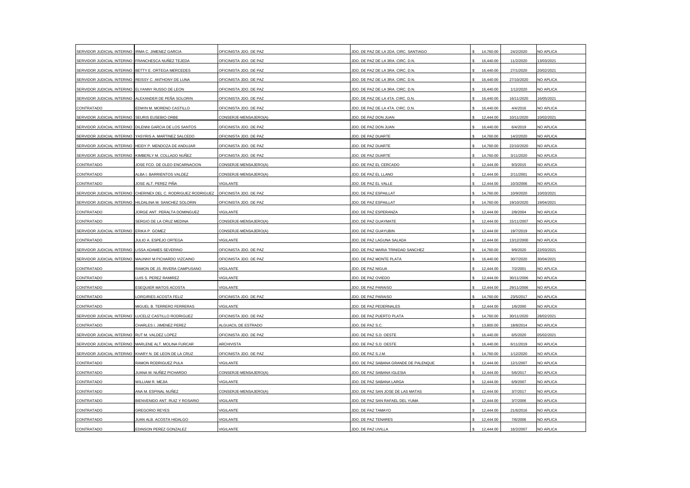| SERVIDOR JUDICIAL INTERINO                          | IRMA C. JIMENEZ GARCIA                                  | OFICINISTA JDO. DE PAZ | JDO. DE PAZ DE LA 2DA. CIRC. SANTIAGO | 14,760.00 | 24/2/2020  | NO APLICA  |
|-----------------------------------------------------|---------------------------------------------------------|------------------------|---------------------------------------|-----------|------------|------------|
| SERVIDOR JUDICIAL INTERINO FRANCHESCA NUÑEZ TEJEDA  |                                                         | OFICINISTA JDO. DE PAZ | JDO. DE PAZ DE LA 3RA. CIRC. D.N.     | 16,440.00 | 11/2/2020  | 13/03/2021 |
| SERVIDOR JUDICIAL INTERINO BETTY E. ORTEGA MERCEDES |                                                         | OFICINISTA JDO. DE PAZ | JDO. DE PAZ DE LA 3RA. CIRC. D.N.     | 16,440.00 | 27/1/2020  | 20/02/2021 |
|                                                     | SERVIDOR JUDICIAL INTERINO REISSY C. ANTHONY DE LUNA    | OFICINISTA JDO. DE PAZ | JDO. DE PAZ DE LA 3RA. CIRC. D.N.     | 16,440.00 | 27/10/2020 | NO APLICA  |
| SERVIDOR JUDICIAL INTERINO                          | ELYANNY RUSSO DE LEON                                   | OFICINISTA JDO. DE PAZ | JDO. DE PAZ DE LA 3RA. CIRC. D.N.     | 16,440.00 | 1/12/2020  | NO APLICA  |
| SERVIDOR JUDICIAL INTERINO                          | ALEXANDER DE PEÑA SOLORIN                               | OFICINISTA JDO. DE PAZ | JDO. DE PAZ DE LA 4TA. CIRC. D.N.     | 16,440.00 | 16/11/2020 | 16/05/2021 |
| CONTRATADO                                          | EDWIN M. MORENO CASTILLO                                | OFICINISTA JDO. DE PAZ | JDO. DE PAZ DE LA 4TA. CIRC. D.N.     | 16,440.00 | 4/4/2016   | NO APLICA  |
| SERVIDOR JUDICIAL INTERINO SEURIS EUSEBIO ORBE      |                                                         | CONSERJE-MENSAJERO(A)  | JDO. DE PAZ DON JUAN                  | 12.444.00 | 10/11/2020 | 10/02/2021 |
|                                                     | SERVIDOR JUDICIAL INTERINO DILENNI GARCIA DE LOS SANTOS | OFICINISTA JDO. DE PAZ | JDO. DE PAZ DON JUAN                  | 16,440.00 | 6/4/2019   | NO APLICA  |
| SERVIDOR JUDICIAL INTERINO                          | YASYRIS A. MARTINEZ SALCEDO                             | OFICINISTA JDO. DE PAZ | JDO. DE PAZ DUARTE                    | 14,760.00 | 14/2/2020  | NO APLICA  |
| SERVIDOR JUDICIAL INTERINO                          | HEIDY P. MENDOZA DE ANDUJAR                             | OFICINISTA JDO. DE PAZ | JDO. DE PAZ DUARTE                    | 14,760.00 | 22/10/2020 | NO APLICA  |
| SERVIDOR JUDICIAL INTERINO                          | KIMBERLY M. COLLADO NUÑEZ                               | OFICINISTA JDO. DE PAZ | JDO. DE PAZ DUARTE                    | 14,760.00 | 3/11/2020  | NO APLICA  |
| CONTRATADO                                          | <b>IOSE FCO. DE OLEO ENCARNACION</b>                    | CONSERJE-MENSAJERO(A)  | JDO. DE PAZ EL CERCADO                | 12,444.00 | 9/3/2015   | NO APLICA  |
| CONTRATADO                                          | ALBA I. BARRIENTOS VALDEZ                               | CONSERJE-MENSAJERO(A)  | JDO. DE PAZ EL LLANO                  | 12,444.00 | 2/11/2001  | NO APLICA  |
| CONTRATADO                                          | JOSE ALT. PEREZ PIÑA                                    | VIGILANTE              | JDO. DE PAZ EL VALLE                  | 12,444.00 | 10/3/2006  | NO APLICA  |
| SERVIDOR JUDICIAL INTERINO                          | CHERINEX DEL C. RODRIGUEZ RODRIGUEZ                     | OFICINISTA JDO. DE PAZ | JDO. DE PAZ ESPAILLAT                 | 14,760.00 | 10/9/2020  | 10/03/2021 |
| SERVIDOR JUDICIAL INTERINO                          | HILDALINA M. SANCHEZ SOLORIN                            | OFICINISTA JDO. DE PAZ | JDO. DE PAZ ESPAILLAT                 | 14,760.00 | 19/10/2020 | 19/04/2021 |
| CONTRATADO                                          | JORGE ANT. PERALTA DOMINGUEZ                            | VIGILANTE              | <b>IDO. DE PAZ ESPERANZA</b>          | 12,444.00 | 2/8/2004   | NO APLICA  |
| CONTRATADO                                          | SERGIO DE LA CRUZ MEDINA                                | CONSERJE-MENSAJERO(A)  | JDO. DE PAZ GUAYMATE                  | 12,444.00 | 15/11/2007 | NO APLICA  |
| SERVIDOR JUDICIAL INTERINO ERIKA P. GOMEZ           |                                                         | CONSERJE-MENSAJERO(A)  | JDO. DE PAZ GUAYUBIN                  | 12,444.00 | 19/7/2019  | NO APLICA  |
| CONTRATADO                                          | IULIO A. ESPEJO ORTEGA                                  | VIGILANTE              | JDO. DE PAZ LAGUNA SALADA             | 12,444.00 | 13/12/2000 | NO APLICA  |
| SERVIDOR JUDICIAL INTERINO                          | LISSA ADAMES SEVERINO                                   | OFICINISTA JDO. DE PAZ | JDO, DE PAZ MARIA TRINIDAD SANCHEZ    | 14.760.00 | 9/9/2020   | 22/03/2021 |
| SERVIDOR JUDICIAL INTERINO                          | MAUNNY M PICHARDO VIZCAINO                              | OFICINISTA JDO. DE PAZ | JDO. DE PAZ MONTE PLATA               | 16,440.00 | 30/7/2020  | 30/04/2021 |
| CONTRATADO                                          | RAMON DE JS. RIVERA CAMPUSANO                           | VIGILANTE              | JDO. DE PAZ NIGUA                     | 12,444.00 | 7/2/2001   | NO APLICA  |
| CONTRATADO                                          | UIS S. PEREZ RAMIREZ                                    | VIGILANTE              | JDO. DE PAZ OVIEDO                    | 12,444.00 | 30/11/2006 | NO APLICA  |
| CONTRATADO                                          | ESEQUIER MATOS ACOSTA                                   | VIGILANTE              | JDO. DE PAZ PARAISO                   | 12,444.00 | 29/11/2006 | NO APLICA  |
| CONTRATADO                                          | ORGIRIES ACOSTA FELIZ                                   | OFICINISTA JDO. DE PAZ | JDO. DE PAZ PARAISO                   | 14,760.00 | 23/5/2017  | NO APLICA  |
| CONTRATADO                                          | MIGUEL B. TERRERO FERRERAS                              | VIGILANTE              | JDO. DE PAZ PEDERNALES                | 12,444.00 | 1/6/2000   | NO APLICA  |
| SERVIDOR JUDICIAL INTERINO                          | LUCELIZ CASTILLO RODRIGUEZ                              | OFICINISTA JDO. DE PAZ | JDO. DE PAZ PUERTO PLATA              | 14,760.00 | 30/11/2020 | 28/02/2021 |
| CONTRATADO                                          | CHARLES I. JIMENEZ PEREZ                                | ALGUACIL DE ESTRADO    | JDO. DE PAZ S.C                       | 13,800.00 | 18/8/2014  | NO APLICA  |
| SERVIDOR JUDICIAL INTERINO RUT M. VALDEZ LOPEZ      |                                                         | OFICINISTA JDO. DE PAZ | JDO. DE PAZ S.D. OESTE                | 16,440.00 | 6/5/2020   | 05/02/2021 |
|                                                     | SERVIDOR JUDICIAL INTERINO MARLENE ALT. MOLINA FURCAR   | <b>ARCHIVISTA</b>      | JDO. DE PAZ S.D. OESTE                | 16,440.00 | 6/11/2019  | NO APLICA  |
| SERVIDOR JUDICIAL INTERINO                          | KHARY N. DE LEON DE LA CRUZ                             | OFICINISTA JDO. DE PAZ | JDO. DE PAZ S.J.M.                    | 14,760.00 | 1/12/2020  | NO APLICA  |
| CONTRATADO                                          | RAMON RODRIGUEZ PULA                                    | VIGILANTE              | JDO. DE PAZ SABANA GRANDE DE PALENQUE | 12,444.00 | 12/1/2007  | NO APLICA  |
| CONTRATADO                                          | IUANA M. NUÑEZ PICHARDO                                 | CONSERJE-MENSAJERO(A)  | IDO. DE PAZ SABANA IGLESIA            | 12,444.00 | 5/6/2017   | NO APLICA  |
| CONTRATADO                                          | WILLIAM R. MEJIA                                        | <b>VIGILANTE</b>       | JDO, DE PAZ SABANA LARGA              | 12.444.00 | 6/9/2007   | NO APLICA  |
| CONTRATADO                                          | ANA M. ESPINAL NUÑEZ                                    | CONSERJE-MENSAJERO(A)  | JDO. DE PAZ SAN JOSE DE LAS MATAS     | 12,444.00 | 3/7/2017   | NO APLICA  |
| CONTRATADO                                          | BIENVENIDO ANT. RUIZ Y ROSARIO                          | VIGILANTE              | JDO. DE PAZ SAN RAFAEL DEL YUMA       | 12,444.00 | 3/7/2006   | NO APLICA  |
| CONTRATADO                                          | <b>GREGORIO REYES</b>                                   | VIGILANTE              | JDO, DE PAZ TAMAYO                    | 12.444.00 | 21/6/2016  | NO APLICA  |
| CONTRATADO                                          | JUAN ALB. ACOSTA HIDALGO                                | VIGILANTE              | JDO. DE PAZ TENARES                   | 12,444.00 | 7/6/2006   | NO APLICA  |
| CONTRATADO                                          | EDINSON PEREZ GONZALEZ                                  | <b>VIGILANTE</b>       | JDO. DE PAZ UVILLA                    | 12,444.00 | 16/2/2007  | NO APLICA  |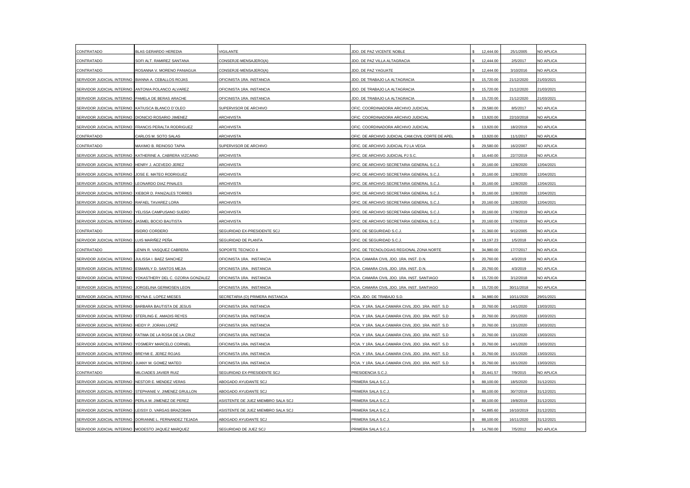| CONTRATADO                                        | BLAS GERARDO HEREDIA                                      | <b>/IGILANTE</b>                   | JDO. DE PAZ VICENTE NOBLE                           | 12,444.00 | 25/1/2005  | NO APLICA        |
|---------------------------------------------------|-----------------------------------------------------------|------------------------------------|-----------------------------------------------------|-----------|------------|------------------|
| CONTRATADO                                        | SOFI ALT. RAMIREZ SANTANA                                 | CONSERJE-MENSAJERO(A)              | JDO. DE PAZ VILLA ALTAGRACIA                        | 12,444.00 | 2/5/2017   | NO APLICA        |
| CONTRATADO                                        | ROSANNA V. MORENO PANIAGUA                                | CONSERJE-MENSAJERO(A)              | JDO. DE PAZ YAGUATE                                 | 12,444.00 | 3/10/2016  | NO APLICA        |
| SERVIDOR JUDICIAL INTERINO                        | BIANNA A. CEBALLOS ROJAS                                  | OFICINISTA 1RA. INSTANCIA          | JDO. DE TRABAJO LA ALTAGRACIA                       | 15,720.00 | 21/12/2020 | 21/03/2021       |
| SERVIDOR JUDICIAL INTERINO                        | ANTONIA POLANCO ALVAREZ                                   | OFICINISTA 1RA. INSTANCIA          | JDO. DE TRABAJO LA ALTAGRACIA                       | 15,720.00 | 21/12/2020 | 21/03/2021       |
| SERVIDOR JUDICIAL INTERINO                        | PAMELA DE BERAS ARACHE                                    | OFICINISTA 1RA. INSTANCIA          | JDO. DE TRABAJO LA ALTAGRACIA                       | 15,720.00 | 21/12/2020 | 21/03/2021       |
| SERVIDOR JUDICIAL INTERINO                        | KATIUSCA BLANCO D'OLEO                                    | SUPERVISOR DE ARCHIVO              | OFIC. COORDINADORA ARCHIVO JUDICIAL                 | 29,580.00 | 8/5/2017   | NO APLICA        |
| SERVIDOR JUDICIAL INTERINO                        | DIONICIO ROSARIO JIMENEZ                                  | <b>ARCHIVISTA</b>                  | OFIC, COORDINADORA ARCHIVO JUDICIAL                 | 13.920.00 | 22/10/2018 | NO APLICA        |
|                                                   | SERVIDOR JUDICIAL INTERINO FRANCIS PERALTA RODRIGUEZ      | <b>ARCHIVISTA</b>                  | OFIC. COORDINADORA ARCHIVO JUDICIAL                 | 13,920.00 | 18/2/2019  | NO APLICA        |
| CONTRATADO                                        | CARLOS M. SOTO SALAS                                      | ARCHIVISTA                         | OFIC. DE ARCHIVO JUDICIAL CAM.CIVIL CORTE DE APEL   | 13,920.00 | 11/1/2017  | NO APLICA        |
| CONTRATADO                                        | MAXIMO B. REINOSO TAPIA                                   | SUPERVISOR DE ARCHIVO              | OFIC. DE ARCHIVO JUDICIAL PJ LA VEGA                | 29,580.00 | 16/2/2007  | NO APLICA        |
|                                                   | SERVIDOR JUDICIAL INTERINO KATHERINE A. CABRERA VIZCAINO  | ARCHIVISTA                         | OFIC. DE ARCHIVO JUDICIAL PJ S.C.                   | 16,440.00 | 22/7/2019  | NO APLICA        |
| SERVIDOR JUDICIAL INTERINO                        | HENRY J. ACEVEDO JEREZ                                    | <b>ARCHIVISTA</b>                  | OFIC. DE ARCHIVO SECRETARIA GENERAL S.C.J.          | 20,160.00 | 12/8/2020  | 12/04/2021       |
| SERVIDOR JUDICIAL INTERINO                        | JOSE E. MATEO RODRIGUEZ                                   | <b>ARCHIVISTA</b>                  | OFIC. DE ARCHIVO SECRETARIA GENERAL S.C.J.          | 20,160.00 | 12/8/2020  | 12/04/2021       |
| SERVIDOR JUDICIAL INTERINO                        | LEONARDO DIAZ PINALES                                     | <b>ARCHIVISTA</b>                  | OFIC. DE ARCHIVO SECRETARIA GENERAL S.C.J.          | 20,160.00 | 12/8/2020  | 12/04/2021       |
| SERVIDOR JUDICIAL INTERINO                        | XIEBOR D. PANIZALES TORRES                                | <b>ARCHIVISTA</b>                  | OFIC. DE ARCHIVO SECRETARIA GENERAL S.C.J           | 20,160.00 | 12/8/2020  | 12/04/2021       |
| SERVIDOR JUDICIAL INTERINO                        | RAFAEL TAVAREZ LORA                                       | <b>ARCHIVISTA</b>                  | OFIC. DE ARCHIVO SECRETARIA GENERAL S.C.J.          | 20,160.00 | 12/8/2020  | 12/04/2021       |
| SERVIDOR JUDICIAL INTERINO                        | YELISSA CAMPUSANO SUERO                                   | <b>ARCHIVISTA</b>                  | OFIC. DE ARCHIVO SECRETARIA GENERAL S.C.J.          | 20,160.00 | 17/9/2019  | NO APLICA        |
| SERVIDOR JUDICIAL INTERINO                        | JASMEL BOCIO BAUTISTA                                     | <b>ARCHIVISTA</b>                  | OFIC. DE ARCHIVO SECRETARIA GENERAL S.C.J.          | 20,160.00 | 17/9/2019  | <b>NO APLICA</b> |
| CONTRATADO                                        | <b>ISIDRO CORDERO</b>                                     | SEGURIDAD EX-PRESIDENTE SCJ        | OFIC. DE SEGURIDAD S.C.J.                           | 21,360.00 | 9/12/2005  | NO APLICA        |
| SERVIDOR JUDICIAL INTERINO                        | LUIS MARIÑEZ PEÑA                                         | SEGURIDAD DE PLANTA                | OFIC. DE SEGURIDAD S.C.J                            | 19,197.23 | 1/5/2018   | NO APLICA        |
| CONTRATADO                                        | ENIN R. VASQUEZ CABRERA                                   | SOPORTE TECNICO II                 | OFIC. DE TECNOLOGIAS REGIONAL ZONA NORTE            | 34,980.00 | 17/7/2017  | NO APLICA        |
| SERVIDOR JUDICIAL INTERINO                        | JULISSA I. BAEZ SANCHEZ                                   | OFICINISTA 1RA. INSTANCIA          | PCIA. CAMARA CIVIL JDO. 1RA. INST. D.N.             | 20,760.00 | 4/3/2019   | NO APLICA        |
| SERVIDOR JUDICIAL INTERINO                        | ESMARLY D. SANTOS MEJIA                                   | OFICINISTA 1RA. INSTANCIA          | PCIA. CAMARA CIVIL JDO. 1RA. INST. D.N.             | 20,760.00 | 4/3/2019   | NO APLICA        |
| SERVIDOR JUDICIAL INTERINO                        | YOKASTHERY DEL C. OZORIA GONZALEZ                         | OFICINISTA 1RA. INSTANCIA          | PCIA. CAMARA CIVIL JDO. 1RA. INST. SANTIAGO         | 15,720.00 | 3/12/2018  | NO APLICA        |
| SERVIDOR JUDICIAL INTERINO                        | JORGELINA GERMOSEN LEON                                   | OFICINISTA 1RA. INSTANCIA          | PCIA. CAMARA CIVIL JDO. 1RA. INST. SANTIAGO         | 15,720.00 | 30/11/2018 | NO APLICA        |
| SERVIDOR JUDICIAL INTERINO                        | REYNA E. LOPEZ MIESES                                     | SECRETARIA (O) PRIMERA INSTANCIA   | PCIA. JDO. DE TRABAJO S.D                           | 34,980.00 | 10/11/2020 | 29/01/2021       |
| SERVIDOR JUDICIAL INTERINO                        | BARBARA BAUTISTA DE JESUS                                 | OFICINISTA 1RA. INSTANCIA          | PCIA. Y 1RA. SALA CAMARA CIVIL JDO. 1RA. INST. S.D  | 20,760.00 | 14/1/2020  | 13/03/2021       |
| SERVIDOR JUDICIAL INTERINO                        | STERLING E. AMADIS REYES                                  | OFICINISTA 1RA. INSTANCIA          | PCIA. Y 1RA. SALA CAMARA CIVIL JDO. 1RA. INST. S.D  | 20,760.00 | 20/1/2020  | 13/03/2021       |
| SERVIDOR JUDICIAL INTERINO                        | HEIDY P. JORAN LOPEZ                                      | OFICINISTA 1RA. INSTANCIA          | PCIA. Y 1RA. SALA CAMARA CIVIL JDO. 1RA. INST. S.D  | 20,760.00 | 13/1/2020  | 13/03/2021       |
|                                                   | SERVIDOR JUDICIAL INTERINO FATIMA DE LA ROSA DE LA CRUZ   | OFICINISTA 1RA. INSTANCIA          | PCIA. Y 1RA. SALA CAMARA CIVIL JDO. 1RA. INST. S.D  | 20,760.00 | 13/1/2020  | 13/03/2021       |
| SERVIDOR JUDICIAL INTERINO                        | YOSMERY MARCELO CORNIEL                                   | OFICINISTA 1RA. INSTANCIA          | PCIA. Y 1RA. SALA CAMARA CIVIL JDO. 1RA. INST. S.D  | 20,760.00 | 14/1/2020  | 13/03/2021       |
| SERVIDOR JUDICIAL INTERINO                        | BREYMI E. JEREZ ROJAS                                     | OFICINISTA 1RA, INSTANCIA          | PCIA, Y 1RA, SALA CAMARA CIVIL JDO, 1RA, INST, S.D. | 20,760.00 | 15/1/2020  | 13/03/2021       |
| SERVIDOR JUDICIAL INTERINO                        | JUANY M. GOMEZ MATEO                                      | OFICINISTA 1RA. INSTANCIA          | PCIA. Y 1RA. SALA CAMARA CIVIL JDO. 1RA. INST. S.D  | 20,760.00 | 16/1/2020  | 13/03/2021       |
| CONTRATADO                                        | MILCIADES JAVIER RUIZ                                     | SEGURIDAD EX-PRESIDENTE SCJ        | PRESIDENCIA S.C.J.                                  | 20,441.57 | 7/9/2015   | NO APLICA        |
| SERVIDOR JUDICIAL INTERINO                        | NESTOR E. MENDEZ VERAS                                    | ABOGADO AYUDANTE SCJ               | PRIMERA SALA S.C.J                                  | 88,100.00 | 18/5/2020  | 31/12/2021       |
| SERVIDOR JUDICIAL INTERINO                        | STEPHANIE V. JIMENEZ GRULLON                              | ABOGADO AYUDANTE SCJ               | PRIMERA SALA S.C.J.                                 | 88,100.00 | 30/7/2019  | 31/12/2021       |
| SERVIDOR JUDICIAL INTERINO                        | PERLA M. JIMENEZ DE PEREZ                                 | ASISTENTE DE JUEZ MIEMBRO SALA SCJ | PRIMERA SALA S.C.J                                  | 88,100.00 | 19/8/2019  | 31/12/2021       |
| SERVIDOR JUDICIAL INTERINO                        | LEISSY D. VARGAS BRAZOBAN                                 | ASISTENTE DE JUEZ MIEMBRO SALA SCJ | PRIMERA SALA S.C.J                                  | 54,885.60 | 16/10/2019 | 31/12/2021       |
|                                                   | SERVIDOR JUDICIAL INTERINO   DORIANNE L. FERNANDEZ TEJADA | ABOGADO AYUDANTE SCJ               | PRIMERA SALA S.C.J.                                 | 88,100.00 | 16/11/2020 | 31/12/2021       |
| SERVIDOR JUDICIAL INTERINO MODESTO JAQUEZ MARQUEZ |                                                           | SEGURIDAD DE JUEZ SCJ              | PRIMERA SALA S.C.J                                  | 14.760.00 | 7/5/2012   | NO APLICA        |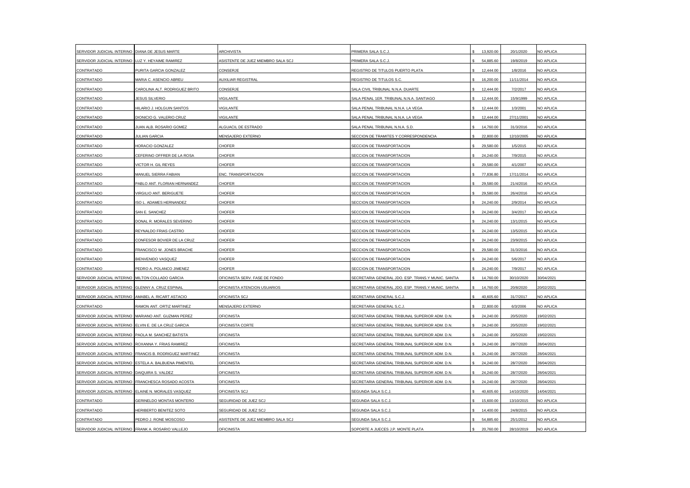| SERVIDOR JUDICIAL INTERINO                          | DIANA DE JESUS MARTE                                   | <b>ARCHIVISTA</b>                  | PRIMERA SALA S.C.J.                                | 13,920.00 | 20/1/2020  | NO APLICA        |
|-----------------------------------------------------|--------------------------------------------------------|------------------------------------|----------------------------------------------------|-----------|------------|------------------|
| SERVIDOR JUDICIAL INTERINO                          | LUZ Y. HEYAIME RAMIREZ                                 | ASISTENTE DE JUEZ MIEMBRO SALA SCJ | PRIMERA SALA S.C.J                                 | 54,885.60 | 19/8/2019  | NO APLICA        |
| CONTRATADO                                          | PURITA GARCIA GONZALEZ                                 | CONSERJE                           | REGISTRO DE TITULOS PUERTO PLATA                   | 12,444.00 | 1/8/2016   | NO APLICA        |
| CONTRATADO                                          | MARIA C. ASENCIO ABREU                                 | AUXILIAR REGISTRAL                 | REGISTRO DE TITULOS S.C.                           | 16,200.00 | 11/11/2014 | NO APLICA        |
| CONTRATADO                                          | CAROLINA ALT. RODRIGUEZ BRITO                          | CONSERJE                           | SALA CIVIL TRIBUNAL N.N.A. DUARTE                  | 12,444.00 | 7/2/2017   | NO APLICA        |
| CONTRATADO                                          | JESUS SILVERIO                                         | VIGILANTE                          | SALA PENAL 1ER. TRIBUNAL N.N.A. SANTIAGO           | 12,444.00 | 15/9/1999  | NO APLICA        |
| CONTRATADO                                          | HILARIO J. HOLGUIN SANTOS                              | VIGILANTE                          | SALA PENAL TRIBUNAL N.N.A. LA VEGA                 | 12,444.00 | 1/3/2001   | NO APLICA        |
| CONTRATADO                                          | DIONICIO G. VALERIO CRUZ                               | <b>VIGILANTE</b>                   | SALA PENAL TRIBUNAL N.N.A. LA VEGA                 | 12,444.00 | 27/11/2001 | NO APLICA        |
| CONTRATADO                                          | JUAN ALB. ROSARIO GOMEZ                                | ALGUACIL DE ESTRADO                | SALA PENAL TRIBUNAL N.N.A. S.D.                    | 14,760.00 | 31/3/2016  | NO APLICA        |
| CONTRATADO                                          | <b>JULIAN GARCIA</b>                                   | MENSAJERO EXTERNO                  | SECCION DE TRAMITES Y CORRESPONDENCIA              | 22,800.00 | 12/10/2005 | NO APLICA        |
| CONTRATADO                                          | HORACIO GONZALEZ                                       | CHOFER                             | SECCION DE TRANSPORTACION                          | 29,580.00 | 1/5/2015   | <b>NO APLICA</b> |
| CONTRATADO                                          | CEFERINO OFFRER DE LA ROSA                             | CHOFER                             | SECCION DE TRANSPORTACION                          | 24,240.00 | 7/9/2015   | NO APLICA        |
| CONTRATADO                                          | VICTOR H. GIL REYES                                    | CHOFER                             | SECCION DE TRANSPORTACION                          | 29,580.00 | 4/1/2007   | NO APLICA        |
| CONTRATADO                                          | MANUEL SIERRA FABIAN                                   | ENC. TRANSPORTACION                | SECCION DE TRANSPORTACION                          | 77,836.80 | 17/11/2014 | NO APLICA        |
| CONTRATADO                                          | PABLO ANT. FLORIAN HERNANDEZ                           | CHOFER                             | SECCION DE TRANSPORTACION                          | 29,580.00 | 21/4/2016  | NO APLICA        |
| CONTRATADO                                          | VIRGILIO ANT. BERIGUETE                                | CHOFER                             | SECCION DE TRANSPORTACION                          | 29,580.00 | 26/4/2016  | NO APLICA        |
| CONTRATADO                                          | ISO L. ADAMES HERNANDEZ                                | CHOFER                             | SECCION DE TRANSPORTACION                          | 24,240.00 | 2/9/2014   | NO APLICA        |
| CONTRATADO                                          | SAN E. SANCHEZ                                         | CHOFER                             | SECCION DE TRANSPORTACION                          | 24,240.00 | 3/4/2017   | NO APLICA        |
| CONTRATADO                                          | DONAL R. MORALES SEVERINO                              | CHOFER                             | SECCION DE TRANSPORTACION                          | 24,240.00 | 13/1/2015  | NO APLICA        |
| CONTRATADO                                          | REYNALDO FRIAS CASTRO                                  | CHOFER                             | SECCION DE TRANSPORTACION                          | 24,240.00 | 13/5/2015  | NO APLICA        |
| CONTRATADO                                          | CONFESOR BOVIER DE LA CRUZ                             | CHOFER                             | SECCION DE TRANSPORTACION                          | 24,240.00 | 23/9/2015  | NO APLICA        |
| CONTRATADO                                          | FRANCISCO W. JONES BRACHE                              | <b>CHOFER</b>                      | SECCION DE TRANSPORTACION                          | 29,580.00 | 31/3/2016  | NO APLICA        |
| CONTRATADO                                          | BIENVENIDO VASQUEZ                                     | CHOFER                             | SECCION DE TRANSPORTACION                          | 24,240.00 | 5/6/2017   | NO APLICA        |
| CONTRATADO                                          | PEDRO A. POLANCO JIMENEZ                               | CHOFER                             | SECCION DE TRANSPORTACION                          | 24,240.00 | 7/9/2017   | NO APLICA        |
| SERVIDOR JUDICIAL INTERINO                          | MILTON COLLADO GARCIA                                  | OFICINISTA SERV. FASE DE FONDO     | SECRETARIA GENERAL JDO. ESP. TRANS.Y MUNIC. SANTIA | 14,760.00 | 30/10/2020 | 30/04/2021       |
| SERVIDOR JUDICIAL INTERINO                          | GLENNY A. CRUZ ESPINAL                                 | OFICINISTA ATENCION USUARIOS       | SECRETARIA GENERAL JDO. ESP. TRANS.Y MUNIC. SANTIA | 14,760.00 | 20/8/2020  | 20/02/2021       |
| SERVIDOR JUDICIAL INTERINO                          | AMABEL A. RICART ASTACIO                               | OFICINISTA SCJ                     | SECRETARIA GENERAL S.C.J                           | 40,605.60 | 31/7/2017  | NO APLICA        |
| CONTRATADO                                          | RAMON ANT. ORTIZ MARTINEZ                              | MENSAJERO EXTERNO                  | SECRETARIA GENERAL S.C.J                           | 22,800.00 | 6/3/2006   | NO APLICA        |
| SERVIDOR JUDICIAL INTERINO                          | MARIANO ANT. GUZMAN PEREZ                              | <b>OFICINISTA</b>                  | SECRETARIA GENERAL TRIBUNAL SUPERIOR ADM. D.N.     | 24,240.00 | 20/5/2020  | 19/02/2021       |
| SERVIDOR JUDICIAL INTERINO                          | ELVIN E. DE LA CRUZ GARCIA                             | OFICINISTA CORTE                   | SECRETARIA GENERAL TRIBUNAL SUPERIOR ADM. D.N.     | 24,240.00 | 20/5/2020  | 19/02/2021       |
| SERVIDOR JUDICIAL INTERINO PAOLA M. SANCHEZ BATISTA |                                                        | <b>OFICINISTA</b>                  | SECRETARIA GENERAL TRIBUNAL SUPERIOR ADM. D.N.     | 24,240.00 | 20/5/2020  | 19/02/2021       |
| SERVIDOR JUDICIAL INTERINO ROXANNA Y. FRIAS RAMIREZ |                                                        | <b>OFICINISTA</b>                  | SECRETARIA GENERAL TRIBUNAL SUPERIOR ADM. D.N.     | 24,240.00 | 28/7/2020  | 28/04/2021       |
| SERVIDOR JUDICIAL INTERINO                          | FRANCIS B. RODRIGUEZ MARTINEZ                          | <b>OFICINISTA</b>                  | SECRETARIA GENERAL TRIBUNAL SUPERIOR ADM. D.N.     | 24,240.00 | 28/7/2020  | 28/04/2021       |
|                                                     | SERVIDOR JUDICIAL INTERINO ESTELA A. BALBUENA PIMENTEL | OFICINISTA                         | SECRETARIA GENERAL TRIBUNAL SUPERIOR ADM. D.N.     | 24,240.00 | 28/7/2020  | 28/04/2021       |
| SERVIDOR JUDICIAL INTERINO                          | DAIQUIRA S. VALDEZ                                     | <b>OFICINISTA</b>                  | SECRETARIA GENERAL TRIBUNAL SUPERIOR ADM. D.N.     | 24,240.00 | 28/7/2020  | 28/04/2021       |
|                                                     | SERVIDOR JUDICIAL INTERINO FRANCHESCA ROSADO ACOSTA    | <b>OFICINISTA</b>                  | SECRETARIA GENERAL TRIBUNAL SUPERIOR ADM. D.N.     | 24,240.00 | 28/7/2020  | 28/04/2021       |
|                                                     | SERVIDOR JUDICIAL INTERINO ELAINE N. MORALES VASQUEZ   | OFICINISTA SCJ                     | SEGUNDA SALA S.C.J                                 | 40,605.60 | 14/10/2020 | 14/04/2021       |
| CONTRATADO                                          | GERINELDO MONTAS MONTERO                               | SEGURIDAD DE JUEZ SCJ              | SEGUNDA SALA S.C.J                                 | 15,600.00 | 13/10/2015 | NO APLICA        |
| CONTRATADO                                          | HERIBERTO BENITEZ SOTO                                 | SEGURIDAD DE JUEZ SCJ              | SEGUNDA SALA S.C.J                                 | 14.400.00 | 24/8/2015  | NO APLICA        |
| CONTRATADO                                          | PEDRO J. RONE MOSCOSO                                  | ASISTENTE DE JUEZ MIEMBRO SALA SCJ | SEGUNDA SALA S.C.J                                 | 54,885.60 | 25/1/2012  | NO APLICA        |
| SERVIDOR JUDICIAL INTERINO FRANK A. ROSARIO VALLEJO |                                                        | <b>OFICINISTA</b>                  | SOPORTE A JUECES J.P. MONTE PLATA                  | 20,760.00 | 28/10/2019 | NO APLICA        |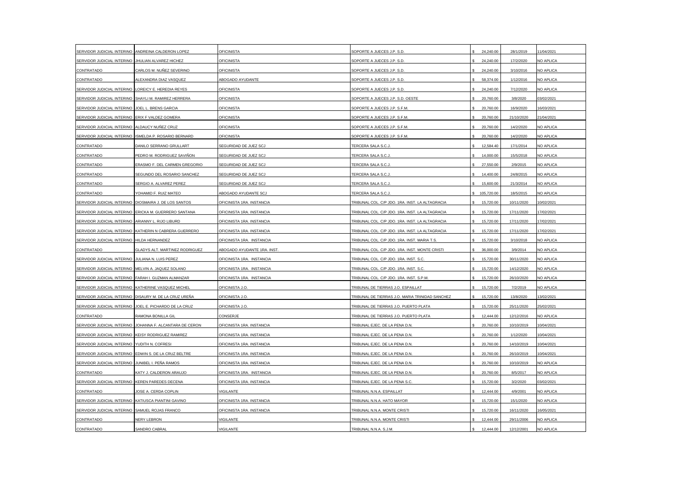| SERVIDOR JUDICIAL INTERINO                          | ANDREINA CALDERON LOPEZ                                | <b>OFICINISTA</b>           | SOPORTE A JUECES J.P. S.D.                      | 24,240.00  | 28/1/2019  | 11/04/2021 |
|-----------------------------------------------------|--------------------------------------------------------|-----------------------------|-------------------------------------------------|------------|------------|------------|
| SERVIDOR JUDICIAL INTERINO                          | JHULIAN ALVAREZ HICHEZ                                 | OFICINISTA                  | SOPORTE A JUECES J.P. S.D.                      | 24,240.00  | 17/2/2020  | NO APLICA  |
| CONTRATADO                                          | CARLOS M. NUÑEZ SEVERINO                               | <b>OFICINISTA</b>           | SOPORTE A JUECES J.P. S.D.                      | 24,240.00  | 3/10/2016  | NO APLICA  |
| CONTRATADO                                          | ALEXANDRA DIAZ VASQUEZ                                 | ABOGADO AYUDANTE            | SOPORTE A JUECES J.P. S.D.                      | 58,374.00  | 1/12/2016  | NO APLICA  |
| SERVIDOR JUDICIAL INTERINO                          | LOREICY E. HEREDIA REYES                               | <b>OFICINISTA</b>           | SOPORTE A JUECES J.P. S.D.                      | 24,240.00  | 7/12/2020  | NO APLICA  |
|                                                     | SERVIDOR JUDICIAL INTERINO SHAYLI M. RAMIREZ HERRERA   | OFICINISTA                  | SOPORTE A JUECES J.P. S.D. OESTE                | 20,760.00  | 3/8/2020   | 03/02/2021 |
| SERVIDOR JUDICIAL INTERINO                          | JOEL L. BRENS GARCIA                                   | <b>OFICINISTA</b>           | SOPORTE A JUECES J.P. S.F.M.                    | 20,760.00  | 16/9/2020  | 16/03/2021 |
| SERVIDOR JUDICIAL INTERINO ERIX F VALDEZ GOMERA     |                                                        | <b>OFICINISTA</b>           | SOPORTE A JUECES J.P. S.F.M.                    | 20,760.00  | 21/10/2020 | 21/04/2021 |
| SERVIDOR JUDICIAL INTERINO                          | ALDAUCY NUÑEZ CRUZ                                     | <b>OFICINISTA</b>           | SOPORTE A JUECES J.P. S.F.M.                    | 20,760.00  | 14/2/2020  | NO APLICA  |
| SERVIDOR JUDICIAL INTERINO                          | ISMELDA P. ROSARIO BERNARD                             | <b>OFICINISTA</b>           | SOPORTE A JUECES J.P. S.F.M.                    | 20,760.00  | 14/2/2020  | NO APLICA  |
| CONTRATADO                                          | DANILO SERRANO GRULLART                                | SEGURIDAD DE JUEZ SCJ       | TERCERA SALA S.C.J                              | 12,584.40  | 17/1/2014  | NO APLICA  |
| CONTRATADO                                          | PEDRO M. RODRIGUEZ SAVIÑON                             | SEGURIDAD DE JUEZ SCJ       | TERCERA SALA S.C.J.                             | 14,000.00  | 15/5/2018  | NO APLICA  |
| CONTRATADO                                          | ERASMO F. DEL CARMEN GREGORIO                          | SEGURIDAD DE JUEZ SCJ       | TERCERA SALA S.C.J.                             | 27,550.00  | 2/9/2015   | NO APLICA  |
| CONTRATADO                                          | SEGUNDO DEL ROSARIO SANCHEZ                            | SEGURIDAD DE JUEZ SCJ       | TERCERA SALA S.C.J.                             | 14,400.00  | 24/8/2015  | NO APLICA  |
| CONTRATADO                                          | SERGIO A. ALVAREZ PEREZ                                | SEGURIDAD DE JUEZ SCJ       | TERCERA SALA S.C.J.                             | 15,600.00  | 21/3/2014  | NO APLICA  |
| CONTRATADO                                          | YOHAMID F. RUIZ MATEO                                  | ABOGADO AYUDANTE SCJ        | TERCERA SALA S.C.J.                             | 105,720.00 | 18/5/2015  | NO APLICA  |
|                                                     | SERVIDOR JUDICIAL INTERINO DIOSMAIRA J. DE LOS SANTOS  | OFICINISTA 1RA. INSTANCIA   | TRIBUNAL COL. C/P JDO. 1RA. INST. LA ALTAGRACIA | 15,720.00  | 10/11/2020 | 10/02/2021 |
| SERVIDOR JUDICIAL INTERINO                          | ERICKA M. GUERRERO SANTANA                             | OFICINISTA 1RA. INSTANCIA   | TRIBUNAL COL. C/P JDO. 1RA. INST. LA ALTAGRACIA | 15,720.00  | 17/11/2020 | 17/02/2021 |
| SERVIDOR JUDICIAL INTERINO                          | ARIANNY L. RIJO LIBURD                                 | OFICINISTA 1RA. INSTANCIA   | TRIBUNAL COL. C/P JDO. 1RA. INST. LA ALTAGRACIA | 15,720.00  | 17/11/2020 | 17/02/2021 |
|                                                     | SERVIDOR JUDICIAL INTERINO KATHERIN N CABRERA GUERRERO | OFICINISTA 1RA. INSTANCIA   | TRIBUNAL COL. C/P JDO. 1RA. INST. LA ALTAGRACIA | 15,720.00  | 17/11/2020 | 17/02/2021 |
| SERVIDOR JUDICIAL INTERINO HILDA HERNANDEZ          |                                                        | OFICINISTA 1RA. INSTANCIA   | TRIBUNAL COL. C/P JDO. 1RA. INST. MARIA T.S.    | 15,720.00  | 3/10/2018  | NO APLICA  |
| CONTRATADO                                          | GLADYS ALT. MARTINEZ RODRIGUEZ                         | ABOGADO AYUDANTE 1RA. INST. | TRIBUNAL COL. C/P JDO. 1RA. INST. MONTE CRISTI  | 36,000.00  | 3/9/2014   | NO APLICA  |
| SERVIDOR JUDICIAL INTERINO                          | JULIANA N. LUIS PEREZ                                  | OFICINISTA 1RA. INSTANCIA   | TRIBUNAL COL. C/P JDO. 1RA. INST. S.C.          | 15,720.00  | 30/11/2020 | NO APLICA  |
| SERVIDOR JUDICIAL INTERINO                          | MELVIN A. JAQUEZ SOLANO                                | OFICINISTA 1RA. INSTANCIA   | TRIBUNAL COL. C/P JDO. 1RA. INST. S.C.          | 15,720.00  | 14/12/2020 | NO APLICA  |
| SERVIDOR JUDICIAL INTERINO FARAH I. GUZMAN ALMANZAR |                                                        | OFICINISTA 1RA. INSTANCIA   | TRIBUNAL COL. C/P JDO. 1RA. INST. S.P.M.        | 15,720.00  | 26/10/2020 | NO APLICA  |
|                                                     | SERVIDOR JUDICIAL INTERINO KATHERINE VASQUEZ MICHEL    | OFICINISTA J.O.             | TRIBUNAL DE TIERRAS J.O. ESPAILLAT              | 15,720.00  | 7/2/2019   | NO APLICA  |
|                                                     | SERVIDOR JUDICIAL INTERINO DISAURY M. DE LA CRUZ UREÑA | OFICINISTA J.O.             | TRIBUNAL DE TIERRAS J.O. MARIA TRINIDAD SANCHEZ | 15,720.00  | 13/8/2020  | 13/02/2021 |
| SERVIDOR JUDICIAL INTERINO                          | JOEL E. PICHARDO DE LA CRUZ                            | OFICINISTA J.O.             | TRIBUNAL DE TIERRAS J.O. PUERTO PLATA           | 15,720.00  | 25/11/2020 | 25/02/2021 |
| CONTRATADO                                          | RAMONA BONILLA GIL                                     | CONSERJE                    | TRIBUNAL DE TIERRAS J.O. PUERTO PLATA           | 12,444.00  | 12/12/2016 | NO APLICA  |
| SERVIDOR JUDICIAL INTERINO                          | JOHANNA F. ALCANTARA DE CERON                          | OFICINISTA 1RA. INSTANCIA   | TRIBUNAL EJEC. DE LA PENA D.N.                  | 20,760.00  | 10/10/2019 | 0/04/2021  |
| SERVIDOR JUDICIAL INTERINO KEISY RODRIGUEZ RAMIREZ  |                                                        | OFICINISTA 1RA. INSTANCIA   | TRIBUNAL EJEC. DE LA PENA D.N.                  | 20,760.00  | 1/12/2020  | 10/04/2021 |
| SERVIDOR JUDICIAL INTERINO YUDITH N. COFRESI        |                                                        | OFICINISTA 1RA. INSTANCIA   | TRIBUNAL EJEC. DE LA PENA D.N.                  | 20,760.00  | 14/10/2019 | 10/04/2021 |
| SERVIDOR JUDICIAL INTERINO                          | EDWIN S. DE LA CRUZ BELTRE                             | OFICINISTA 1RA. INSTANCIA   | TRIBUNAL EJEC. DE LA PENA D.N.                  | 20,760.00  | 26/10/2019 | 10/04/2021 |
| SERVIDOR JUDICIAL INTERINO                          | JUNIBEL I. PEÑA RAMOS                                  | OFICINISTA 1RA. INSTANCIA   | TRIBUNAL EJEC. DE LA PENA D.N.                  | 20,760.00  | 10/10/2019 | NO APLICA  |
| CONTRATADO                                          | KATY J. CALDERON ARAUJO                                | OFICINISTA 1RA. INSTANCIA   | TRIBUNAL EJEC. DE LA PENA D.N.                  | 20,760.00  | 8/5/2017   | NO APLICA  |
| SERVIDOR JUDICIAL INTERINO KEREN PAREDES DECENA     |                                                        | OFICINISTA 1RA, INSTANCIA   | TRIBUNAL EJEC. DE LA PENA S.C.                  | 15,720.00  | 3/2/2020   | 03/02/2021 |
| CONTRATADO                                          | JOSE A. CERDA COPLIN                                   | VIGILANTE                   | TRIBUNAL N.N.A. ESPAILLAT                       | 12,444.00  | 4/9/2001   | NO APLICA  |
| SERVIDOR JUDICIAL INTERINO KATIUSCA PIANTINI GAVINO |                                                        | OFICINISTA 1RA. INSTANCIA   | TRIBUNAL N.N.A. HATO MAYOR                      | 15,720.00  | 15/1/2020  | NO APLICA  |
| SERVIDOR JUDICIAL INTERINO SAMUEL ROJAS FRANCO      |                                                        | OFICINISTA 1RA. INSTANCIA   | TRIBUNAL N.N.A. MONTE CRISTI                    | 15,720.00  | 16/11/2020 | 16/05/2021 |
| CONTRATADO                                          | <b>NERY LEBRON</b>                                     | VIGILANTE                   | TRIBUNAL N.N.A. MONTE CRISTI                    | 12,444.00  | 29/11/2006 | NO APLICA  |
| CONTRATADO                                          | SANDRO CABRAL                                          | VIGILANTE                   | TRIBUNAL N.N.A. S.J.M.                          | 12,444.00  | 12/12/2001 | NO APLICA  |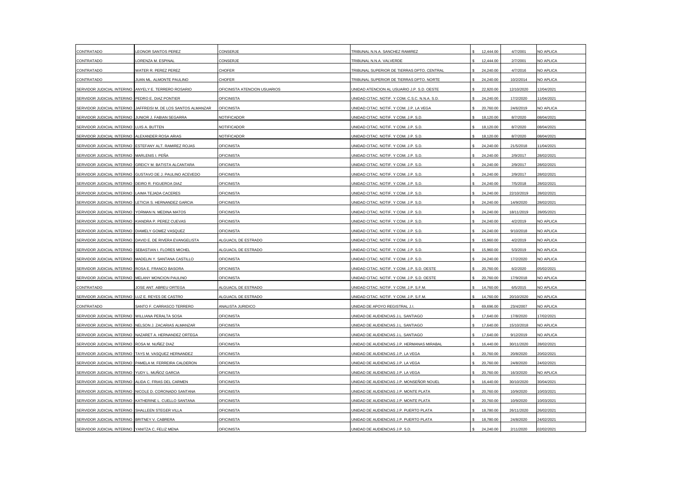| CONTRATADO                                            | EONOR SANTOS PEREZ                                        | CONSERJE                     | TRIBUNAL N.N.A. SANCHEZ RAMIREZ                | 12,444.00 | 4/7/2001   | NO APLICA  |
|-------------------------------------------------------|-----------------------------------------------------------|------------------------------|------------------------------------------------|-----------|------------|------------|
| CONTRATADO                                            | ORENZA M. ESPINAL                                         | CONSERJE                     | TRIBUNAL N.N.A. VALVERDE                       | 12,444.00 | 2/7/2001   | NO APLICA  |
| CONTRATADO                                            | WATER R. PEREZ PEREZ                                      | CHOFER                       | TRIBUNAL SUPERIOR DE TIERRAS DPTO. CENTRAL     | 24,240.00 | 4/7/2016   | NO APLICA  |
| CONTRATADO                                            | JUAN ML. ALMONTE PAULINO                                  | CHOFER                       | TRIBUNAL SUPERIOR DE TIERRAS DPTO. NORTE       | 24,240.00 | 10/2/2014  | NO APLICA  |
| SERVIDOR JUDICIAL INTERINO                            | ANYELY E. TERRERO ROSARIO                                 | OFICINISTA ATENCION USUARIOS | UNIDAD ATENCION AL USUARIO J.P. S.D. OESTE     | 22,920.00 | 12/10/2020 | 12/04/2021 |
| SERVIDOR JUDICIAL INTERINO                            | PEDRO E. DIAZ PONTIER                                     | <b>OFICINISTA</b>            | UNIDAD CITAC. NOTIF. Y COM. C.S.C. N.N.A. S.D. | 24,240.00 | 17/2/2020  | 11/04/2021 |
| SERVIDOR JUDICIAL INTERINO                            | JAFFREISI M. DE LOS SANTOS ALMANZAR                       | <b>OFICINISTA</b>            | JNIDAD CITAC. NOTIF. Y COM. J.P. LA VEGA       | 20,760.00 | 24/6/2019  | NO APLICA  |
| SERVIDOR JUDICIAL INTERINO                            | JUNIOR J. FABIAN SEGARRA                                  | NOTIFICADOR                  | UNIDAD CITAC, NOTIF, Y COM, J.P. S.D.          | 18.120.00 | 8/7/2020   | 08/04/2021 |
| SERVIDOR JUDICIAL INTERINO LUIS A. BUTTEN             |                                                           | NOTIFICADOR                  | UNIDAD CITAC. NOTIF. Y COM. J.P. S.D.          | 18,120.00 | 8/7/2020   | 08/04/2021 |
| SERVIDOR JUDICIAL INTERINO                            | ALEXANDER ROSA ARIAS                                      | NOTIFICADOR                  | UNIDAD CITAC. NOTIF. Y COM. J.P. S.D.          | 18,120.00 | 8/7/2020   | 08/04/2021 |
| SERVIDOR JUDICIAL INTERINO                            | ESTEFANY ALT. RAMIREZ ROJAS                               | <b>OFICINISTA</b>            | UNIDAD CITAC. NOTIF. Y COM. J.P. S.D.          | 24,240.00 | 21/5/2018  | 11/04/2021 |
| SERVIDOR JUDICIAL INTERINO                            | MARLENIS I. PEÑA                                          | <b>OFICINISTA</b>            | UNIDAD CITAC. NOTIF. Y COM. J.P. S.D.          | 24,240.00 | 2/9/2017   | 28/02/2021 |
| SERVIDOR JUDICIAL INTERINO                            | GREICY M. BATISTA ALCANTARA                               | <b>OFICINISTA</b>            | JNIDAD CITAC. NOTIF. Y COM. J.P. S.D           | 24,240.00 | 2/9/2017   | 28/02/2021 |
|                                                       | SERVIDOR JUDICIAL INTERINO GUSTAVO DE J. PAULINO ACEVEDO  | <b>OFICINISTA</b>            | UNIDAD CITAC. NOTIF. Y COM. J.P. S.D.          | 24,240.00 | 2/9/2017   | 28/02/2021 |
| SERVIDOR JUDICIAL INTERINO DEIRO R. FIGUEROA DIAZ     |                                                           | <b>OFICINISTA</b>            | UNIDAD CITAC. NOTIF. Y COM. J.P. S.D.          | 24,240.00 | 7/5/2018   | 28/02/2021 |
| SERVIDOR JUDICIAL INTERINO                            | LAIMA TEJADA CACERES                                      | <b>OFICINISTA</b>            | UNIDAD CITAC. NOTIF. Y COM. J.P. S.D           | 24,240.00 | 22/10/2019 | 28/02/2021 |
| SERVIDOR JUDICIAL INTERINO                            | LETICIA S. HERNANDEZ GARCIA                               | OFICINISTA                   | UNIDAD CITAC. NOTIF. Y COM. J.P. S.D.          | 24,240.00 | 14/9/2020  | 28/02/2021 |
| SERVIDOR JUDICIAL INTERINO                            | YORMAN N. MEDINA MATOS                                    | <b>OFICINISTA</b>            | JNIDAD CITAC. NOTIF. Y COM. J.P. S.D.          | 24,240.00 | 18/11/2019 | 28/05/2021 |
| SERVIDOR JUDICIAL INTERINO                            | KIANDRA P. PEREZ CUEVAS                                   | <b>OFICINISTA</b>            | JNIDAD CITAC. NOTIF. Y COM. J.P. S.D.          | 24,240.00 | 4/2/2019   | NO APLICA  |
| SERVIDOR JUDICIAL INTERINO   DIAMELY GOMEZ VASQUEZ    |                                                           | <b>OFICINISTA</b>            | UNIDAD CITAC. NOTIF. Y COM. J.P. S.D.          | 24,240.00 | 9/10/2018  | NO APLICA  |
|                                                       | SERVIDOR JUDICIAL INTERINO DAVID E. DE RIVERA EVANGELISTA | ALGUACIL DE ESTRADO          | UNIDAD CITAC. NOTIF. Y COM. J.P. S.D.          | 15,960.00 | 4/2/2019   | NO APLICA  |
| SERVIDOR JUDICIAL INTERINO SEBASTIAN I. FLORES MICHEL |                                                           | ALGUACIL DE ESTRADO          | UNIDAD CITAC, NOTIF, Y COM, J.P. S.D.          | 15,960.00 | 5/3/2019   | NO APLICA  |
| SERVIDOR JUDICIAL INTERINO                            | MADELIN Y. SANTANA CASTILLO                               | <b>OFICINISTA</b>            | UNIDAD CITAC. NOTIF. Y COM. J.P. S.D.          | 24,240.00 | 17/2/2020  | NO APLICA  |
| SERVIDOR JUDICIAL INTERINO                            | ROSA E. FRANCO BASORA                                     | <b>OFICINISTA</b>            | UNIDAD CITAC. NOTIF. Y COM. J.P. S.D. OESTE    | 20,760.00 | 6/2/2020   | 05/02/2021 |
| SERVIDOR JUDICIAL INTERINO MELANY MONCION PAULINO     |                                                           | <b>OFICINISTA</b>            | UNIDAD CITAC. NOTIF. Y COM. J.P. S.D. OESTE    | 20,760.00 | 17/9/2018  | NO APLICA  |
| CONTRATADO                                            | JOSE ANT. ABREU ORTEGA                                    | ALGUACIL DE ESTRADO          | UNIDAD CITAC. NOTIF. Y COM. J.P. S.F.M.        | 14,760.00 | 6/5/2015   | NO APLICA  |
| SERVIDOR JUDICIAL INTERINO                            | LUZ E. REYES DE CASTRO                                    | ALGUACIL DE ESTRADO          | UNIDAD CITAC. NOTIF. Y COM. J.P. S.F.M.        | 14,760.00 | 20/10/2020 | NO APLICA  |
| CONTRATADO                                            | SANTO F. CARRASCO TERRERO                                 | ANALISTA JURIDICO            | UNIDAD DE APOYO REGISTRAL J.I.                 | 69,696.00 | 23/4/2007  | NO APLICA  |
| SERVIDOR JUDICIAL INTERINO                            | <b>WILLIANA PERALTA SOSA</b>                              | <b>OFICINISTA</b>            | JNIDAD DE AUDIENCIAS J.L. SANTIAGO             | 17,640.00 | 17/8/2020  | 17/02/2021 |
| SERVIDOR JUDICIAL INTERINO                            | NELSON J. ZACARIAS ALMANZAR                               | <b>OFICINISTA</b>            | JNIDAD DE AUDIENCIAS J.L. SANTIAGO             | 17,640.00 | 15/10/2018 | NO APLICA  |
|                                                       | SERVIDOR JUDICIAL INTERINO NAZARET A. HERNANDEZ ORTEGA    | <b>OFICINISTA</b>            | UNIDAD DE AUDIENCIAS J.L. SANTIAGO             | 17,640.00 | 9/12/2019  | NO APLICA  |
| SERVIDOR JUDICIAL INTERINO ROSA M. NUÑEZ DIAZ         |                                                           | <b>OFICINISTA</b>            | JNIDAD DE AUDIENCIAS J.P. HERMANAS MIRABAL     | 16,440.00 | 30/11/2020 | 28/02/2021 |
|                                                       | SERVIDOR JUDICIAL INTERINO TAYS M. VASQUEZ HERNANDEZ      | <b>OFICINISTA</b>            | UNIDAD DE AUDIENCIAS J.P. LA VEGA              | 20,760.00 | 20/8/2020  | 20/02/2021 |
|                                                       | SERVIDOR JUDICIAL INTERINO PAMELA M. FERREIRA CALDERON    | <b>OFICINISTA</b>            | UNIDAD DE AUDIENCIAS J.P. LA VEGA              | 20,760.00 | 24/8/2020  | 24/02/2021 |
| SERVIDOR JUDICIAL INTERINO                            | YUDY L. MUÑOZ GARCIA                                      | <b>OFICINISTA</b>            | JNIDAD DE AUDIENCIAS J.P. LA VEGA              | 20,760.00 | 16/3/2020  | NO APLICA  |
| SERVIDOR JUDICIAL INTERINO ALIDA C. FRIAS DEL CARMEN  |                                                           | <b>OFICINISTA</b>            | JNIDAD DE AUDIENCIAS J.P. MONSEÑOR NOUEL       | 16,440.00 | 30/10/2020 | 30/04/2021 |
|                                                       | SERVIDOR JUDICIAL INTERINO NICOLE D. CORONADO SANTANA     | <b>OFICINISTA</b>            | UNIDAD DE AUDIENCIAS J.P. MONTE PLATA          | 20,760.00 | 10/9/2020  | 10/03/2021 |
|                                                       | SERVIDOR JUDICIAL INTERINO KATHERINE L. CUELLO SANTANA    | <b>OFICINISTA</b>            | JNIDAD DE AUDIENCIAS J.P. MONTE PLATA          | 20,760.00 | 10/9/2020  | 10/03/2021 |
| SERVIDOR JUDICIAL INTERINO SHALLEEN STEGER VILLA      |                                                           | <b>OFICINISTA</b>            | UNIDAD DE AUDIENCIAS J.P. PUERTO PLATA         | 18,780.00 | 26/11/2020 | 26/02/2021 |
| SERVIDOR JUDICIAL INTERINO BRITNEY V. CABRERA         |                                                           | <b>OFICINISTA</b>            | JNIDAD DE AUDIENCIAS J.P. PUERTO PLATA         | 18,780.00 | 24/8/2020  | 24/02/2021 |
| SERVIDOR JUDICIAL INTERINO YANITZA C, FELIZ MENA      |                                                           | <b>OFICINISTA</b>            | UNIDAD DE AUDIENCIAS J.P. S.D.                 | 24,240.00 | 2/11/2020  | 02/02/2021 |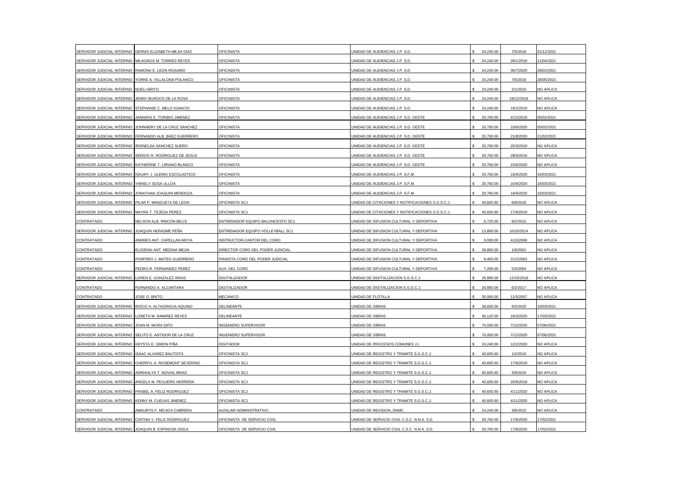| SERVIDOR JUDICIAL INTERINO                            | DERNIS ELIZABETH MEJIA DIAZ                             | <b>OFICINISTA</b>                | JNIDAD DE AUDIENCIAS J.P. S.D.                   | 24,240.00 | 7/5/2018   | 31/12/2021 |
|-------------------------------------------------------|---------------------------------------------------------|----------------------------------|--------------------------------------------------|-----------|------------|------------|
| SERVIDOR JUDICIAL INTERINO                            | MILAGROS M. TORRES REYES                                | <b>OFICINISTA</b>                | JNIDAD DE AUDIENCIAS J.P. S.D.                   | 24,240.00 | 28/1/2019  | 1/04/2021  |
| SERVIDOR JUDICIAL INTERINO RAMONA E. LEON ROSARIO     |                                                         | <b>OFICINISTA</b>                | JNIDAD DE AUDIENCIAS J.P. S.D.                   | 24,240.00 | 30/7/2020  | 28/02/2021 |
|                                                       | SERVIDOR JUDICIAL INTERINO YORKE A. VILLALONA POLANCO   | <b>OFICINISTA</b>                | UNIDAD DE AUDIENCIAS J.P. S.D.                   | 24,240.00 | 7/5/2018   | 28/05/2021 |
| SERVIDOR JUDICIAL INTERINO NOELI BRITO                |                                                         | <b>OFICINISTA</b>                | UNIDAD DE AUDIENCIAS J.P. S.D.                   | 24,240.00 | 2/1/2019   | NO APLICA  |
| SERVIDOR JUDICIAL INTERINO                            | JENNY BURGOS DE LA ROSA                                 | OFICINISTA                       | UNIDAD DE AUDIENCIAS J.P. S.D.                   | 24,240.00 | 18/12/2018 | NO APLICA  |
| SERVIDOR JUDICIAL INTERINO                            | STEPHANIE C. MELO IGNACIO                               | <b>OFICINISTA</b>                | JNIDAD DE AUDIENCIAS J.P. S.D.                   | 24,240.00 | 18/2/2019  | NO APLICA  |
| SERVIDOR JUDICIAL INTERINO                            | JANNIRIS E. TORIBIO JIMENEZ                             | <b>OFICINISTA</b>                | <b>JNIDAD DE AUDIENCIAS J.P. S.D. OESTE</b>      | 20,760.00 | 4/12/2018  | 05/02/2021 |
| SERVIDOR JUDICIAL INTERINO                            | JOHNNERY DE LA CRUZ SANCHEZ                             | <b>OFICINISTA</b>                | UNIDAD DE AUDIENCIAS J.P. S.D. OESTE             | 20,760.00 | 10/9/2020  | 05/02/2021 |
|                                                       | SERVIDOR JUDICIAL INTERINO FERNANDO ALB. BAEZ GUERRERO  | <b>OFICINISTA</b>                | JNIDAD DE AUDIENCIAS J.P. S.D. OESTE             | 20,760.00 | 21/8/2020  | 21/02/2021 |
| SERVIDOR JUDICIAL INTERINO IRISNELDA SANCHEZ SUERO    |                                                         | <b>OFICINISTA</b>                | UNIDAD DE AUDIENCIAS J.P. S.D. OESTE             | 20,760.00 | 25/3/2019  | NO APLICA  |
| SERVIDOR JUDICIAL INTERINO                            | SERGIO R. RODRIGUEZ DE JESUS                            | <b>OFICINISTA</b>                | UNIDAD DE AUDIENCIAS J.P. S.D. OESTE             | 20,760.00 | 28/9/2018  | NO APLICA  |
| SERVIDOR JUDICIAL INTERINO                            | KATHERINE T. LIRIANO BLANCO                             | <b>OFICINISTA</b>                | UNIDAD DE AUDIENCIAS J.P. S.D. OESTE             | 20,760.00 | 15/6/2020  | NO APLICA  |
|                                                       | SERVIDOR JUDICIAL INTERINO ISAURY J. ULERIO ESCOLASTICO | <b>OFICINISTA</b>                | UNIDAD DE AUDIENCIAS J.P. S.F.M.                 | 20,760.00 | 16/9/2020  | 16/03/2021 |
| SERVIDOR JUDICIAL INTERINO YARIELY SOSA ULLOA         |                                                         | <b>OFICINISTA</b>                | UNIDAD DE AUDIENCIAS J.P. S.F.M.                 | 20,760.00 | 16/9/2020  | 16/03/2021 |
| SERVIDOR JUDICIAL INTERINO                            | JONATHAN JOAQUIN MENDOZA                                | <b>OFICINISTA</b>                | UNIDAD DE AUDIENCIAS J.P. S.F.M.                 | 20,760.00 | 16/9/2020  | 16/03/2021 |
| SERVIDOR JUDICIAL INTERINO PILAR P. MANZUETA DE LEON  |                                                         | OFICINISTA SCJ                   | UNIDAD DE CITACIONES Y NOTIFICACIONES S.G.S.C.J. | 40,605.60 | 6/9/2018   | NO APLICA  |
| SERVIDOR JUDICIAL INTERINO                            | MAYRA T. TEJEDA PEREZ                                   | OFICINISTA SCJ                   | JNIDAD DE CITACIONES Y NOTIFICACIONES S.G.S.C.J. | 40,605.60 | 17/9/2019  | NO APLICA  |
| CONTRATADO                                            | NELSON ALB. RINCON BELIS                                | ENTRENADOR EQUIPO BALONCESTO SCJ | JNIDAD DE DIFUSION CULTURAL Y DEPORTIVA          | 6,720.00  | 9/2/2015   | NO APLICA  |
| SERVIDOR JUDICIAL INTERINO                            | JOAQUIN HERASME PEÑA                                    | ENTRENADOR EQUIPO VOLLEYBALL SCJ | UNIDAD DE DIFUSION CULTURAL Y DEPORTIVA          | 13,800.00 | 10/10/2014 | NO APLICA  |
| CONTRATADO                                            | ANDRES ANT. CAPELLAN MOYA                               | NSTRUCTOR-CANTOR DEL CORO        | JNIDAD DE DIFUSION CULTURAL Y DEPORTIVA          | 9,000.00  | 4/10/2006  | NO APLICA  |
| CONTRATADO                                            | ELIOENAI ANT. MEDINA MEJIA                              | DIRECTOR CORO DEL PODER JUDICIAL | UNIDAD DE DIFUSION CULTURAL Y DEPORTIVA          | 28,860.00 | 1/9/2001   | NO APLICA  |
| CONTRATADO                                            | PORFIRIO J. MATEO GUERRERO                              | PIANISTA CORO DEL PODER JUDICIAL | UNIDAD DE DIFUSION CULTURAL Y DEPORTIVA          | 8,400.00  | 2/12/2003  | NO APLICA  |
| CONTRATADO                                            | PEDRO R. FERNANDEZ PEREZ                                | AUX. DEL CORO                    | JNIDAD DE DIFUSION CULTURAL Y DEPORTIVA          | 7,200.00  | 5/3/2004   | NO APLICA  |
| SERVIDOR JUDICIAL INTERINO LOREN E. GONZALEZ ARIAS    |                                                         | <b>DIGITALIZADOR</b>             | UNIDAD DE DIGITALIZACION S.G.S.C.J.              | 26,880.00 | 12/10/2018 | NO APLICA  |
| CONTRATADO                                            | FERNANDO A. ALCANTARA                                   | DIGITALIZADOR                    | UNIDAD DE DIGITALIZACION S.G.S.C.J.              | 26,880.00 | 6/2/2017   | NO APLICA  |
| CONTRATADO                                            | JOSE O. BRITO                                           | MECANICO                         | UNIDAD DE FLOTILLA                               | 30,000.00 | 11/5/2007  | NO APLICA  |
|                                                       | SERVIDOR JUDICIAL INTERINO ROCIO A. ALTAGRACIA AQUINO   | DELINEANTE                       | JNIDAD DE OBRAS                                  | 38,600.00 | 9/3/2020   | 10/03/2021 |
| SERVIDOR JUDICIAL INTERINO                            | LIZBETH M. RAMIREZ REYES                                | DELINEANTE                       | JNIDAD DE OBRAS                                  | 30,120.00 | 16/3/2020  | 17/03/2021 |
| SERVIDOR JUDICIAL INTERINO                            | JOAN M. MORA DIFO                                       | NGENIERO SUPERVISOR              | JNIDAD DE OBRAS                                  | 70,000.00 | 7/12/2020  | 07/06/2021 |
|                                                       | SERVIDOR JUDICIAL INTERINO SELITO E. ANTIDOR DE LA CRUZ | <b>INGENIERO SUPERVISOR</b>      | JNIDAD DE OBRAS                                  | 70,000.00 | 7/12/2020  | 07/06/2021 |
| SERVIDOR JUDICIAL INTERINO KRYSTA D. SIMON PIÑA       |                                                         | <b>DIGITADOR</b>                 | JNIDAD DE PROCESOS COMUNES J.I.                  | 24,240.00 | 12/2/2020  | NO APLICA  |
| SERVIDOR JUDICIAL INTERINO                            | <b>ISAAC ALVAREZ BAUTISTA</b>                           | OFICINISTA SCJ                   | UNIDAD DE REGISTRO Y TRAMITE S.G.S.C.J           | 40,605.60 | 1/2/2019   | NO APLICA  |
|                                                       | SERVIDOR JUDICIAL INTERINO CHERRYL A. ROSEMONT SEVERINO | OFICINISTA SCJ                   | UNIDAD DE REGISTRO Y TRAMITE S.G.S.C.J           | 40,605.60 | 17/9/2019  | NO APLICA  |
| SERVIDOR JUDICIAL INTERINO                            | ADRHIALYS T. NOVAS ARIAS                                | OFICINISTA SCJ                   | JNIDAD DE REGISTRO Y TRAMITE S.G.S.C.J.          | 40,605.60 | 3/9/2019   | NO APLICA  |
|                                                       | SERVIDOR JUDICIAL INTERINO ANGELA M. PEGUERO HERRERA    | OFICINISTA SCJ                   | UNIDAD DE REGISTRO Y TRAMITE S.G.S.C.J.          | 40.605.60 | 20/9/2018  | NO APLICA  |
| SERVIDOR JUDICIAL INTERINO FRABEL A. FELIZ RODRIGUEZ  |                                                         | OFICINISTA SCJ                   | UNIDAD DE REGISTRO Y TRAMITE S.G.S.C.J.          | 40,605.60 | 4/11/2020  | NO APLICA  |
| SERVIDOR JUDICIAL INTERINO KENNY M. CUEVAS JIMENEZ    |                                                         | OFICINISTA SCJ                   | JNIDAD DE REGISTRO Y TRAMITE S.G.S.C.J           | 40,605.60 | 4/11/2020  | NO APLICA  |
| CONTRATADO                                            | AMAURYS F. MOJICA CABRERA                               | AUXILIAR ADMINISTRATIVO          | UNIDAD DE REVISION, DNMC                         | 24,240.00 | 3/8/2015   | NO APLICA  |
| SERVIDOR JUDICIAL INTERINO CINTHIA Y. FELIZ RODRIGUEZ |                                                         | OFICINISTA DE SERVICIO CIVIL     | JNIDAD DE SERVICIO CIVIL C.S.C. N.N.A. S.D.      | 20,760.00 | 17/8/2020  | 17/02/2021 |
| SERVIDOR JUDICIAL INTERINO JOAQUIN B. ESPINOSA DISLA  |                                                         | OFICINISTA DE SERVICIO CIVIL     | UNIDAD DE SERVICIO CIVIL C.S.C. N.N.A. S.D.      | 20,760.00 | 17/8/2020  | 17/02/2021 |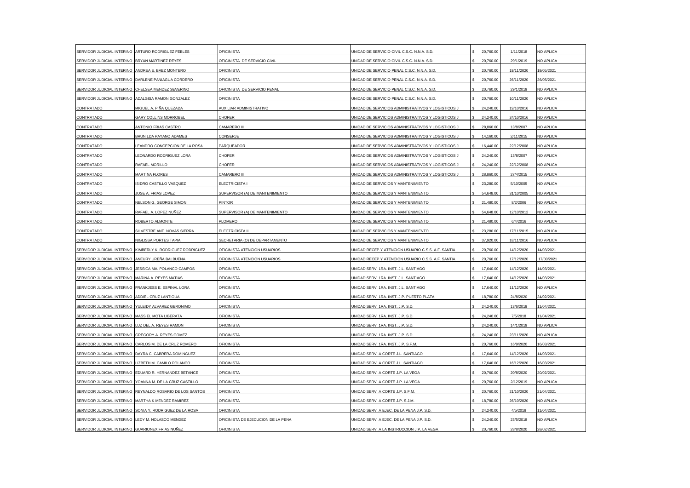| SERVIDOR JUDICIAL INTERINO                           | ARTURO RODRIGUEZ FEBLES                                   | <b>OFICINISTA</b>                  | JNIDAD DE SERVICIO CIVIL C.S.C. N.N.A. S.D.        | 20,760.00 | 1/11/2018  | NO APLICA        |
|------------------------------------------------------|-----------------------------------------------------------|------------------------------------|----------------------------------------------------|-----------|------------|------------------|
| SERVIDOR JUDICIAL INTERINO                           | BRYAN MARTINEZ REYES                                      | OFICINISTA DE SERVICIO CIVIL       | JNIDAD DE SERVICIO CIVIL C.S.C. N.N.A. S.D.        | 20,760.00 | 29/1/2019  | NO APLICA        |
| SERVIDOR JUDICIAL INTERINO                           | ANDREA E. BAEZ MONTERO                                    | OFICINISTA                         | JNIDAD DE SERVICIO PENAL C.S.C. N.N.A. S.D.        | 20,760.00 | 19/11/2020 | 19/05/2021       |
|                                                      | SERVIDOR JUDICIAL INTERINO DARLENE PANIAGUA CORDERO       | <b>OFICINISTA</b>                  | UNIDAD DE SERVICIO PENAL C.S.C. N.N.A. S.D.        | 20,760.00 | 26/11/2020 | 26/05/2021       |
| SERVIDOR JUDICIAL INTERINO                           | CHELSEA MENDEZ SEVERINO                                   | OFICINISTA DE SERVICIO PENAL       | UNIDAD DE SERVICIO PENAL C.S.C. N.N.A. S.D.        | 20,760.00 | 29/1/2019  | NO APLICA        |
| SERVIDOR JUDICIAL INTERINO                           | ADALGISA RAMON GONZALEZ                                   | <b>OFICINISTA</b>                  | UNIDAD DE SERVICIO PENAL C.S.C. N.N.A. S.D.        | 20,760.00 | 10/11/2020 | NO APLICA        |
| CONTRATADO                                           | MIGUEL A. PIÑA QUEZADA                                    | <b>AUXILIAR ADMINISTRATIVO</b>     | INIDAD DE SERVICIOS ADMINISTRATIVOS Y LOGISTICOS J | 24,240.00 | 19/10/2016 | NO APLICA        |
| CONTRATADO                                           | <b>GARY COLLINS MORROBEL</b>                              | <b>CHOFER</b>                      | UNIDAD DE SERVICIOS ADMINISTRATIVOS Y LOGISTICOS J | 24,240.00 | 24/10/2016 | NO APLICA        |
| CONTRATADO                                           | ANTONIO FRIAS CASTRO                                      | CAMARERO III                       | UNIDAD DE SERVICIOS ADMINISTRATIVOS Y LOGISTICOS J | 28,860.00 | 13/8/2007  | NO APLICA        |
| CONTRATADO                                           | BRUNILDA PAYANO ADAMES                                    | CONSERJE                           | UNIDAD DE SERVICIOS ADMINISTRATIVOS Y LOGISTICOS J | 14,160.00 | 2/11/2015  | NO APLICA        |
| CONTRATADO                                           | LEANDRO CONCEPCION DE LA ROSA                             | PARQUEADOR                         | UNIDAD DE SERVICIOS ADMINISTRATIVOS Y LOGISTICOS J | 16,440.00 | 22/12/2008 | NO APLICA        |
| CONTRATADO                                           | LEONARDO RODRIGUEZ LORA                                   | CHOFER                             | JNIDAD DE SERVICIOS ADMINISTRATIVOS Y LOGISTICOS J | 24,240.00 | 13/8/2007  | NO APLICA        |
| CONTRATADO                                           | RAFAEL MORILLO                                            | CHOFER                             | JNIDAD DE SERVICIOS ADMINISTRATIVOS Y LOGISTICOS J | 24,240.00 | 22/12/2008 | <b>NO APLICA</b> |
| CONTRATADO                                           | MARTINA FLORES                                            | CAMARERO III                       | UNIDAD DE SERVICIOS ADMINISTRATIVOS Y LOGISTICOS J | 28,860.00 | 27/4/2015  | NO APLICA        |
| CONTRATADO                                           | ISIDRO CASTILLO VASQUEZ                                   | ELECTRICISTA I                     | UNIDAD DE SERVICIOS Y MANTENIMIENTO                | 23,280.00 | 5/10/2005  | NO APLICA        |
| CONTRATADO                                           | JOSE A. FRIAS LOPEZ                                       | SUPERVISOR (A) DE MANTENIMIENTO    | UNIDAD DE SERVICIOS Y MANTENIMIENTO                | 54,648.00 | 31/10/2005 | NO APLICA        |
| CONTRATADO                                           | NELSON G. GEORGE SIMON                                    | <b>PINTOR</b>                      | UNIDAD DE SERVICIOS Y MANTENIMIENTO                | 21,480.00 | 8/2/2006   | NO APLICA        |
| CONTRATADO                                           | RAFAEL A. LOPEZ NUÑEZ                                     | SUPERVISOR (A) DE MANTENIMIENTO    | <b>JNIDAD DE SERVICIOS Y MANTENIMIENTO</b>         | 54.648.00 | 12/10/2012 | NO APLICA        |
| CONTRATADO                                           | ROBERTO ALMONTE                                           | PLOMERO                            | <b>JNIDAD DE SERVICIOS Y MANTENIMIENTO</b>         | 21,480.00 | 6/4/2016   | NO APLICA        |
| CONTRATADO                                           | SILVESTRE ANT. NOVAS SIERRA                               | ELECTRICISTA II                    | UNIDAD DE SERVICIOS Y MANTENIMIENTO                | 23,280.00 | 17/11/2015 | NO APLICA        |
| CONTRATADO                                           | NIGLISSA PORTES TAPIA                                     | SECRETARIA (O) DE DEPARTAMENTO     | <b>JNIDAD DE SERVICIOS Y MANTENIMIENTO</b>         | 37,920.00 | 18/11/2016 | NO APLICA        |
| SERVIDOR JUDICIAL INTERINO                           | KIMBERLY K. RODRIGUEZ RODRIGUEZ                           | OFICINISTA ATENCION USUARIOS       | UNIDAD RECEP.Y ATENCION USUARIO C.S.S. A.F. SANTIA | 20,760.00 | 14/12/2020 | 14/03/2021       |
| SERVIDOR JUDICIAL INTERINO                           | ANEURY UREÑA BALBUENA                                     | OFICINISTA ATENCION USUARIOS       | UNIDAD RECEP.Y ATENCION USUARIO C.S.S. A.F. SANTIA | 20,760.00 | 17/12/2020 | 17/03/2021       |
| SERVIDOR JUDICIAL INTERINO                           | JESSICA MA. POLANCO CAMPOS                                | <b>OFICINISTA</b>                  | UNIDAD SERV. 1RA. INST. J.L. SANTIAGO              | 17,640.00 | 14/12/2020 | 14/03/2021       |
| SERVIDOR JUDICIAL INTERINO MARINA A. REYES MATIAS    |                                                           | <b>OFICINISTA</b>                  | UNIDAD SERV. 1RA. INST. J.L. SANTIAGO              | 17,640.00 | 14/12/2020 | 14/03/2021       |
| SERVIDOR JUDICIAL INTERINO FRANKJESS E. ESPINAL LORA |                                                           | <b>OFICINISTA</b>                  | UNIDAD SERV. 1RA. INST. J.L. SANTIAGO              | 17,640.00 | 11/12/2020 | NO APLICA        |
| SERVIDOR JUDICIAL INTERINO                           | ADDIEL CRUZ LANTIGUA                                      | <b>OFICINISTA</b>                  | UNIDAD SERV. 1RA. INST. J.P. PUERTO PLATA          | 18,780.00 | 24/8/2020  | 24/02/2021       |
| SERVIDOR JUDICIAL INTERINO                           | YULEIDY ALVAREZ GERONIMO                                  | <b>OFICINISTA</b>                  | UNIDAD SERV. 1RA. INST. J.P. S.D.                  | 24,240.00 | 13/6/2019  | 11/04/2021       |
| SERVIDOR JUDICIAL INTERINO MASSIEL MOTA LIBERATA     |                                                           | <b>OFICINISTA</b>                  | JNIDAD SERV. 1RA. INST. J.P. S.D.                  | 24,240.00 | 7/5/2018   | 11/04/2021       |
| SERVIDOR JUDICIAL INTERINO                           | LUZ DEL A. REYES RAMON                                    | <b>OFICINISTA</b>                  | JNIDAD SERV. 1RA. INST. J.P. S.D.                  | 24,240.00 | 14/1/2019  | NO APLICA        |
| SERVIDOR JUDICIAL INTERINO                           | GREGORY A. REYES GOMEZ                                    | <b>OFICINISTA</b>                  | JNIDAD SERV. 1RA. INST. J.P. S.D.                  | 24,240.00 | 23/11/2020 | NO APLICA        |
| SERVIDOR JUDICIAL INTERINO                           | CARLOS M. DE LA CRUZ ROMERO                               | <b>OFICINISTA</b>                  | JNIDAD SERV. 1RA. INST. J.P. S.F.M.                | 20,760.00 | 16/9/2020  | 16/03/2021       |
| SERVIDOR JUDICIAL INTERINO                           | DAYRA C. CABRERA DOMINGUEZ                                | <b>OFICINISTA</b>                  | UNIDAD SERV. A CORTE J.L. SANTIAGO                 | 17,640.00 | 14/12/2020 | 14/03/2021       |
| SERVIDOR JUDICIAL INTERINO LIZBETH M. CAMILO POLANCO |                                                           | <b>OFICINISTA</b>                  | UNIDAD SERV. A CORTE J.L. SANTIAGO                 | 17,640.00 | 16/12/2020 | 16/03/2021       |
| SERVIDOR JUDICIAL INTERINO                           | EDUARD R. HERNANDEZ BETANCE                               | <b>OFICINISTA</b>                  | JNIDAD SERV. A CORTE J.P. LA VEGA                  | 20,760.00 | 20/8/2020  | 20/02/2021       |
| SERVIDOR JUDICIAL INTERINO                           | YOANNA M. DE LA CRUZ CASTILLO                             | <b>OFICINISTA</b>                  | UNIDAD SERV. A CORTE J.P. LA VEGA                  | 20,760.00 | 2/12/2019  | <b>NO APLICA</b> |
|                                                      | SERVIDOR JUDICIAL INTERINO REYNALDO ROSARIO DE LOS SANTOS | <b>OFICINISTA</b>                  | UNIDAD SERV. A CORTE J.P. S.F.M.                   | 20,760.00 | 21/10/2020 | 21/04/2021       |
| SERVIDOR JUDICIAL INTERINO MARTHA K MENDEZ RAMIREZ   |                                                           | <b>OFICINISTA</b>                  | UNIDAD SERV. A CORTE J.P. S.J.M.                   | 18,780.00 | 26/10/2020 | NO APLICA        |
| SERVIDOR JUDICIAL INTERINO                           | SONIA Y. RODRIGUEZ DE LA ROSA                             | <b>OFICINISTA</b>                  | UNIDAD SERV. A EJEC. DE LA PENA J.P. S.D.          | 24,240.00 | 4/5/2018   | 11/04/2021       |
| SERVIDOR JUDICIAL INTERINO LEDY M. NOLASCO MENDEZ    |                                                           | OFICINISTA DE EJECUCION DE LA PENA | UNIDAD SERV. A EJEC. DE LA PENA J.P. S.D.          | 24,240.00 | 23/5/2018  | NO APLICA        |
| SERVIDOR JUDICIAL INTERINO GUARIONEX FRIAS NUÑEZ     |                                                           | <b>OFICINISTA</b>                  | UNIDAD SERV. A LA INSTRUCCION J.P. LA VEGA         | 20,760.00 | 28/8/2020  | 28/02/2021       |